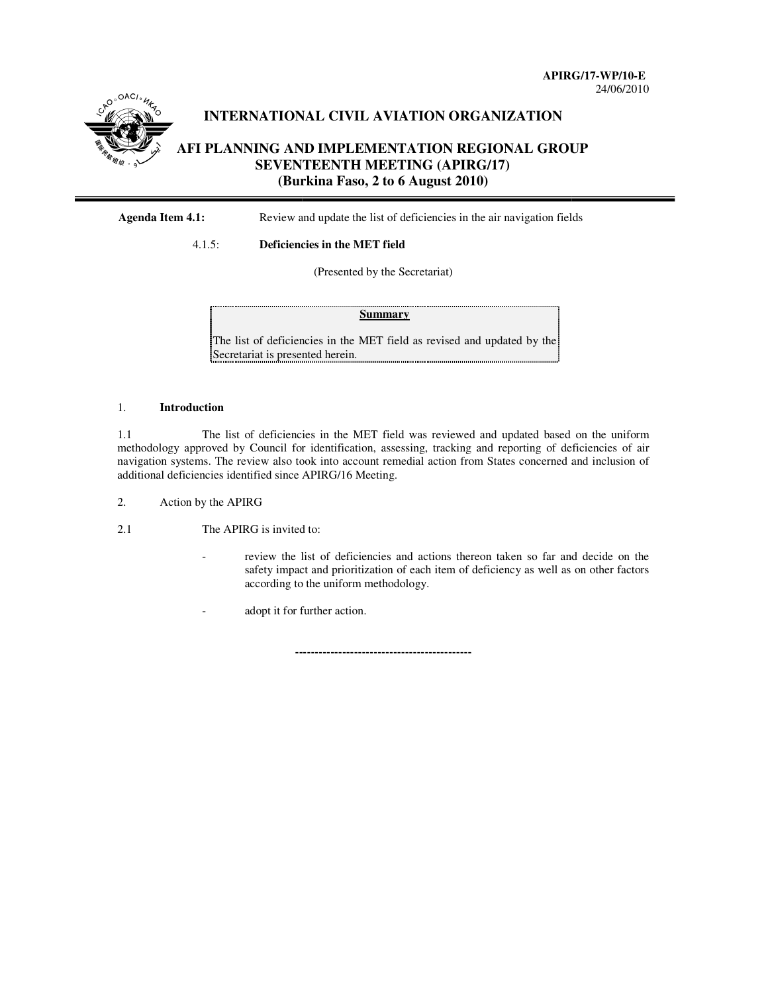

# **INTERNATIONAL CIVIL AVIATION ORGANIZATION INTERNATIONALCIVIL**

# **AFI** PLANNING AND IMPLEMENTATION REGIONAL GROUP<br>
SEVENTEENTH MEETING (APIRG/17)<br>(Burkina Faso, 2 to 6 August 2010) **SEVENTEENTH MEETING (APIRG/17) (Burkina Faso, 2 to 6 August 2010)** APIRG/17-WP/10-E<br>
24/06/2010<br>
24/06/2010<br> **NNING AND IMPLEMENTATION REGIONAL GROUP**<br> **SEVENTEENTH MEETING (APIRG/17)**<br> **(Burkina Faso, 2 to 6 August 2010)**<br>
Review and update the list of deficiencies in the air navigation

#### **Agenda Item 4.1:** Review and update the list of deficiencies in the air navigation fields

## 4.1.5: **Deficiencies in the MET field field**

(Presented by the Secretariat)

The list of deficiencies in the MET field as revised and updated by the Secretariat is presented herein.

#### 1. **Introduction**

1.1 The list of deficiencies in the MET field was reviewed and updated based on the uniform 1.1 The list of deficiencies in the MET field was reviewed and updated based on the uniform methodology approved by Council for identification, assessing, tracking and reporting of deficiencies of air navigation systems. The review also took into account remedial action from States concerned an additional deficiencies identified since APIRG/1 cil for identification, assessing, tracking and reporting of deficiencies<br>also took into account remedial action from States concerned and inclus<br>since APIRG/16 Meeting. **Summary**<br>
eficiencies in the MET field<br>
presented herein.<br>
iciencies in the MET field<br>
cil for identification, assess<br>
also took into account remed<br>
since APIRG/16 Meeting.<br>
invited to:<br>
y the list of deficiencies and<br>
im systems. The review also took into account remedial action from States concerned and inclusion of

2. Action by the APIRG

2.1 The APIRG is invited to:

- review the list of deficiencies and actions thereon taken so far and decide on the safety impact and prioritization of each item of deficiency as well as on other factors according to the uniform methodology.
- adopt it for further action.

**---------------------------------------------**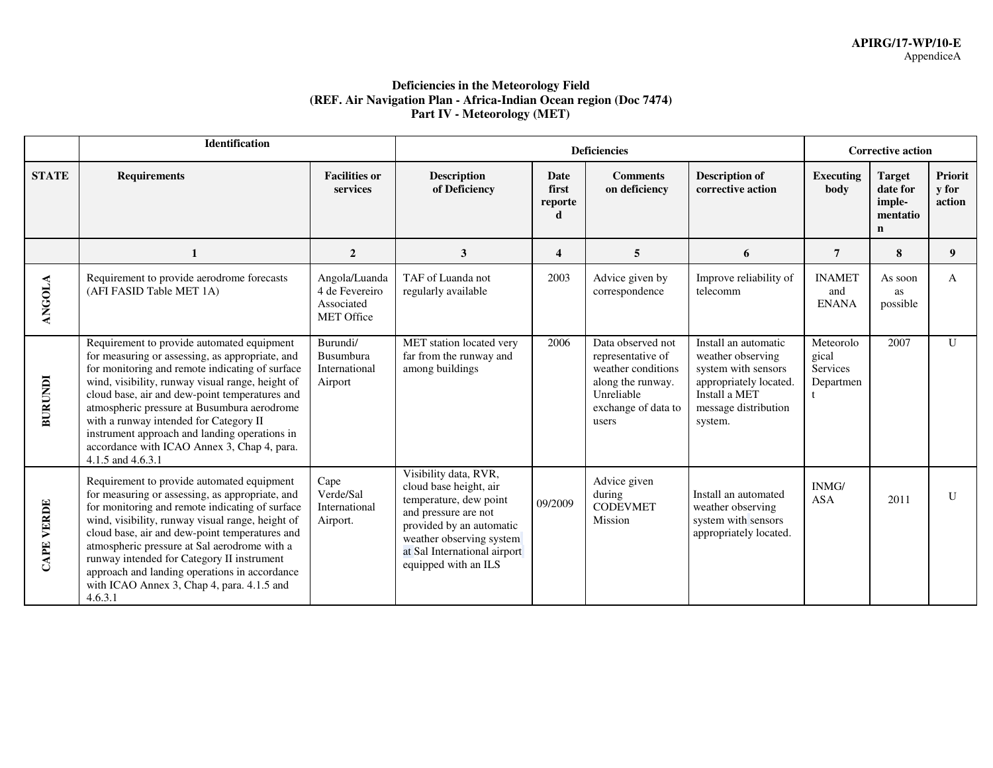### **Deficiencies in the Meteorology Field (REF. Air Navigation Plan - Africa-Indian Ocean region (Doc 7474) Part IV - Meteorology (MET)**

|                | Identification                                                                                                                                                                                                                                                                                                                                                                                                                                                       |                                                                    |                                                                                                                                                                                                                   |                                 | <b>Corrective action</b>                                                                                                        |                                                                                                                                                |                                                   |                                                                |                                   |
|----------------|----------------------------------------------------------------------------------------------------------------------------------------------------------------------------------------------------------------------------------------------------------------------------------------------------------------------------------------------------------------------------------------------------------------------------------------------------------------------|--------------------------------------------------------------------|-------------------------------------------------------------------------------------------------------------------------------------------------------------------------------------------------------------------|---------------------------------|---------------------------------------------------------------------------------------------------------------------------------|------------------------------------------------------------------------------------------------------------------------------------------------|---------------------------------------------------|----------------------------------------------------------------|-----------------------------------|
| <b>STATE</b>   | <b>Requirements</b>                                                                                                                                                                                                                                                                                                                                                                                                                                                  | <b>Facilities or</b><br>services                                   | <b>Description</b><br>of Deficiency                                                                                                                                                                               | <b>Date</b><br>first<br>reporte | <b>Comments</b><br>on deficiency                                                                                                | <b>Description of</b><br>corrective action                                                                                                     | <b>Executing</b><br>body                          | <b>Target</b><br>date for<br>imple-<br>mentatio<br>$\mathbf n$ | Priorit<br><b>v</b> for<br>action |
|                | $\mathbf 1$                                                                                                                                                                                                                                                                                                                                                                                                                                                          | $\overline{2}$                                                     | 3                                                                                                                                                                                                                 | $\overline{\mathbf{4}}$         | 5                                                                                                                               | 6                                                                                                                                              | 7                                                 | 8                                                              | 9                                 |
| <b>ANGOLA</b>  | Requirement to provide aerodrome forecasts<br>(AFI FASID Table MET 1A)                                                                                                                                                                                                                                                                                                                                                                                               | Angola/Luanda<br>4 de Fevereiro<br>Associated<br><b>MET Office</b> | TAF of Luanda not<br>regularly available                                                                                                                                                                          | 2003                            | Advice given by<br>correspondence                                                                                               | Improve reliability of<br>telecomm                                                                                                             | <b>INAMET</b><br>and<br><b>ENANA</b>              | As soon<br>as<br>possible                                      | A                                 |
| <b>BURUNDI</b> | Requirement to provide automated equipment<br>for measuring or assessing, as appropriate, and<br>for monitoring and remote indicating of surface<br>wind, visibility, runway visual range, height of<br>cloud base, air and dew-point temperatures and<br>atmospheric pressure at Busumbura aerodrome<br>with a runway intended for Category II<br>instrument approach and landing operations in<br>accordance with ICAO Annex 3, Chap 4, para.<br>4.1.5 and 4.6.3.1 | Burundi/<br>Busumbura<br>International<br>Airport                  | MET station located very<br>far from the runway and<br>among buildings                                                                                                                                            | 2006                            | Data observed not<br>representative of<br>weather conditions<br>along the runway.<br>Unreliable<br>exchange of data to<br>users | Install an automatic<br>weather observing<br>system with sensors<br>appropriately located.<br>Install a MET<br>message distribution<br>system. | Meteorolo<br>gical<br>Services<br>Departmen<br>t. | 2007                                                           | $\mathbf{U}$                      |
| CAPE VERDE     | Requirement to provide automated equipment<br>for measuring or assessing, as appropriate, and<br>for monitoring and remote indicating of surface<br>wind, visibility, runway visual range, height of<br>cloud base, air and dew-point temperatures and<br>atmospheric pressure at Sal aerodrome with a<br>runway intended for Category II instrument<br>approach and landing operations in accordance<br>with ICAO Annex 3, Chap 4, para. 4.1.5 and<br>4.6.3.1       | Cape<br>Verde/Sal<br>International<br>Airport.                     | Visibility data, RVR,<br>cloud base height, air<br>temperature, dew point<br>and pressure are not<br>provided by an automatic<br>weather observing system<br>at Sal International airport<br>equipped with an ILS | 09/2009                         | Advice given<br>during<br><b>CODEVMET</b><br>Mission                                                                            | Install an automated<br>weather observing<br>system with sensors<br>appropriately located.                                                     | INMG/<br><b>ASA</b>                               | 2011                                                           | U                                 |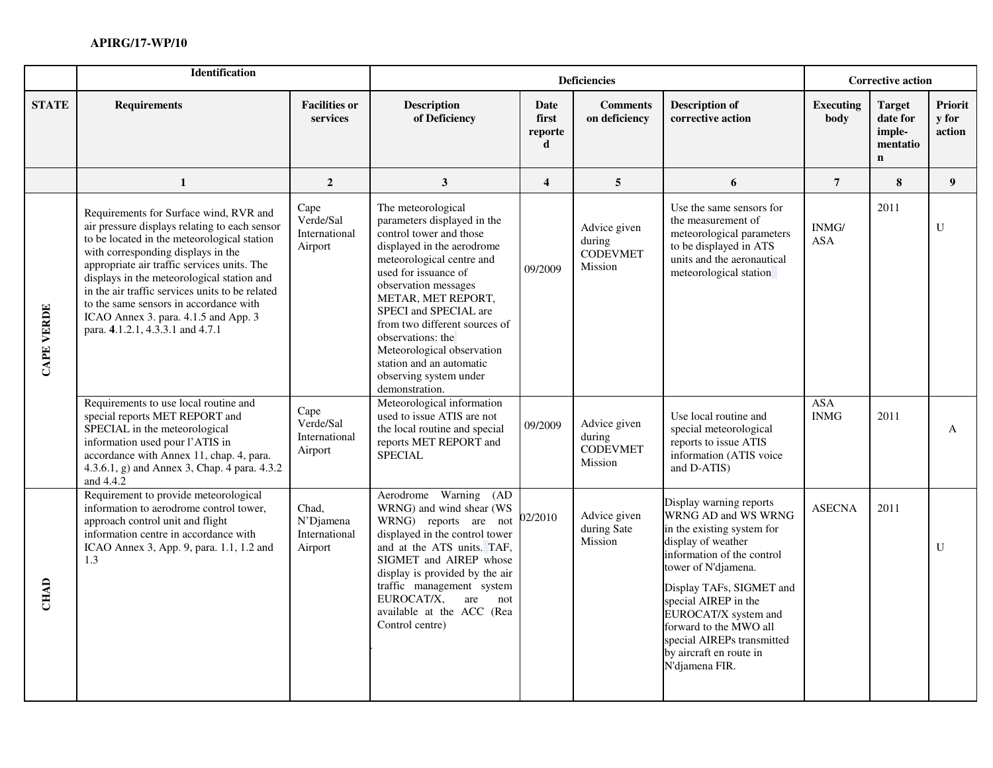|                   | <b>Identification</b>                                                                                                                                                                                                                                                                                                                                                                                                                              |                                                |                                                                                                                                                                                                                                                                                                                                                                                                    |                                      | <b>Deficiencies</b>                                  |                                                                                                                                                                                                                                                                                                                                          | <b>Corrective action</b>          |                                                                |                            |
|-------------------|----------------------------------------------------------------------------------------------------------------------------------------------------------------------------------------------------------------------------------------------------------------------------------------------------------------------------------------------------------------------------------------------------------------------------------------------------|------------------------------------------------|----------------------------------------------------------------------------------------------------------------------------------------------------------------------------------------------------------------------------------------------------------------------------------------------------------------------------------------------------------------------------------------------------|--------------------------------------|------------------------------------------------------|------------------------------------------------------------------------------------------------------------------------------------------------------------------------------------------------------------------------------------------------------------------------------------------------------------------------------------------|-----------------------------------|----------------------------------------------------------------|----------------------------|
| <b>STATE</b>      | <b>Requirements</b>                                                                                                                                                                                                                                                                                                                                                                                                                                | <b>Facilities or</b><br>services               | <b>Description</b><br>of Deficiency                                                                                                                                                                                                                                                                                                                                                                | <b>Date</b><br>first<br>reporte<br>d | <b>Comments</b><br>on deficiency                     | <b>Description of</b><br>corrective action                                                                                                                                                                                                                                                                                               | <b>Executing</b><br>body          | <b>Target</b><br>date for<br>imple-<br>mentatio<br>$\mathbf n$ | Priorit<br>y for<br>action |
|                   | $\mathbf 1$                                                                                                                                                                                                                                                                                                                                                                                                                                        | $\overline{2}$                                 | $\mathbf{3}$                                                                                                                                                                                                                                                                                                                                                                                       | $\overline{4}$                       | 5                                                    | 6                                                                                                                                                                                                                                                                                                                                        | $\overline{7}$                    | 8                                                              | 9 <sup>1</sup>             |
| <b>CAPE VERDE</b> | Requirements for Surface wind, RVR and<br>air pressure displays relating to each sensor<br>to be located in the meteorological station<br>with corresponding displays in the<br>appropriate air traffic services units. The<br>displays in the meteorological station and<br>in the air traffic services units to be related<br>to the same sensors in accordance with<br>ICAO Annex 3. para. 4.1.5 and App. 3<br>para. 4.1.2.1, 4.3.3.1 and 4.7.1 | Cape<br>Verde/Sal<br>International<br>Airport  | The meteorological<br>parameters displayed in the<br>control tower and those<br>displayed in the aerodrome<br>meteorological centre and<br>used for issuance of<br>observation messages<br>METAR, MET REPORT,<br>SPECI and SPECIAL are<br>from two different sources of<br>observations: the<br>Meteorological observation<br>station and an automatic<br>observing system under<br>demonstration. | 09/2009                              | Advice given<br>during<br><b>CODEVMET</b><br>Mission | Use the same sensors for<br>the measurement of<br>meteorological parameters<br>to be displayed in ATS<br>units and the aeronautical<br>meteorological station                                                                                                                                                                            | INMG/<br><b>ASA</b><br><b>ASA</b> | 2011                                                           | U                          |
|                   | Requirements to use local routine and<br>special reports MET REPORT and<br>SPECIAL in the meteorological<br>information used pour l'ATIS in<br>accordance with Annex 11, chap. 4, para.<br>4.3.6.1, g) and Annex 3, Chap. 4 para. 4.3.2<br>and 4.4.2                                                                                                                                                                                               | Cape<br>Verde/Sal<br>International<br>Airport  | Meteorological information<br>used to issue ATIS are not<br>the local routine and special<br>reports MET REPORT and<br><b>SPECIAL</b>                                                                                                                                                                                                                                                              | 09/2009                              | Advice given<br>during<br><b>CODEVMET</b><br>Mission | Use local routine and<br>special meteorological<br>reports to issue ATIS<br>information (ATIS voice<br>and D-ATIS)                                                                                                                                                                                                                       | <b>INMG</b>                       | 2011                                                           | A                          |
| <b>CHAD</b>       | Requirement to provide meteorological<br>information to aerodrome control tower,<br>approach control unit and flight<br>information centre in accordance with<br>ICAO Annex 3, App. 9, para. 1.1, 1.2 and<br>1.3                                                                                                                                                                                                                                   | Chad,<br>N'Djamena<br>International<br>Airport | Aerodrome Warning<br>(AD)<br>WRNG) and wind shear (WS<br>WRNG) reports are not<br>displayed in the control tower<br>and at the ATS units. TAF,<br>SIGMET and AIREP whose<br>display is provided by the air<br>traffic management system<br>EUROCAT/X,<br>are<br>not<br>available at the ACC (Rea<br>Control centre)                                                                                | 02/2010                              | Advice given<br>during Sate<br>Mission               | Display warning reports<br>WRNG AD and WS WRNG<br>in the existing system for<br>display of weather<br>information of the control<br>tower of N'djamena.<br>Display TAFs, SIGMET and<br>special AIREP in the<br>EUROCAT/X system and<br>forward to the MWO all<br>special AIREPs transmitted<br>by aircraft en route in<br>N'djamena FIR. | <b>ASECNA</b>                     | 2011                                                           | U                          |
|                   |                                                                                                                                                                                                                                                                                                                                                                                                                                                    |                                                |                                                                                                                                                                                                                                                                                                                                                                                                    |                                      |                                                      |                                                                                                                                                                                                                                                                                                                                          |                                   |                                                                |                            |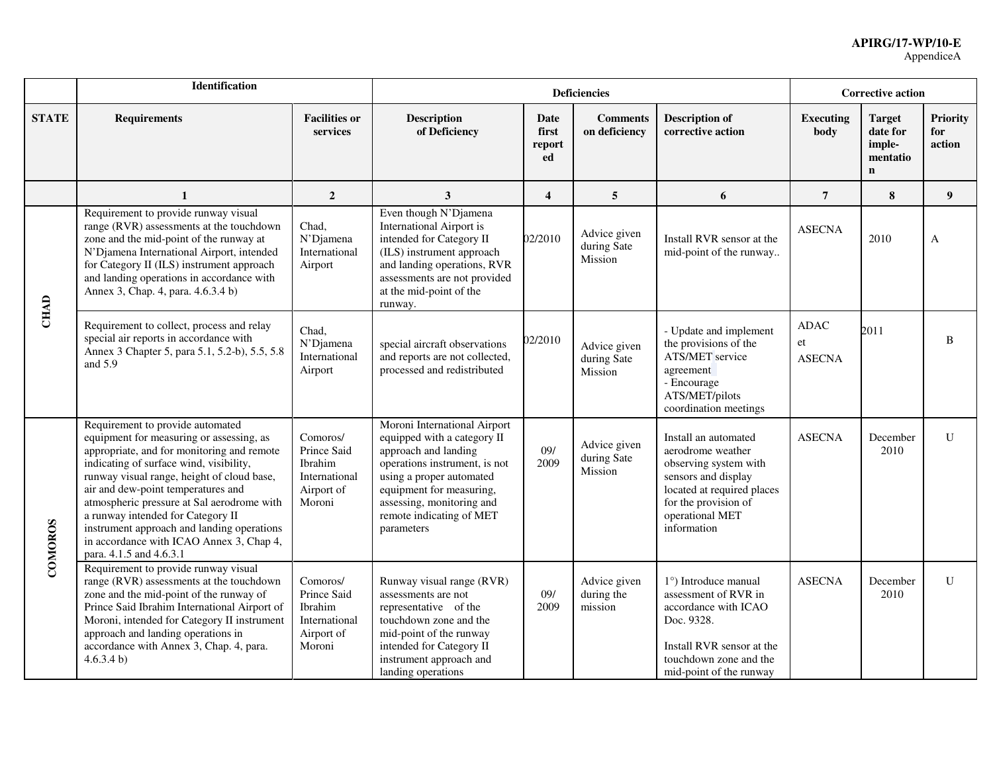|              | Identification                                                                                                                                                                                                                                                                                                                                                                                                                                                    |                                                                             |                                                                                                                                                                                                                                                     |                               | <b>Deficiencies</b>                    |                                                                                                                                                                                   | <b>Corrective action</b>           |                                                                |                                  |
|--------------|-------------------------------------------------------------------------------------------------------------------------------------------------------------------------------------------------------------------------------------------------------------------------------------------------------------------------------------------------------------------------------------------------------------------------------------------------------------------|-----------------------------------------------------------------------------|-----------------------------------------------------------------------------------------------------------------------------------------------------------------------------------------------------------------------------------------------------|-------------------------------|----------------------------------------|-----------------------------------------------------------------------------------------------------------------------------------------------------------------------------------|------------------------------------|----------------------------------------------------------------|----------------------------------|
| <b>STATE</b> | <b>Requirements</b>                                                                                                                                                                                                                                                                                                                                                                                                                                               | <b>Facilities or</b><br>services                                            | <b>Description</b><br>of Deficiency                                                                                                                                                                                                                 | Date<br>first<br>report<br>ed | <b>Comments</b><br>on deficiency       | <b>Description of</b><br>corrective action                                                                                                                                        | <b>Executing</b><br>body           | <b>Target</b><br>date for<br>imple-<br>mentatio<br>$\mathbf n$ | <b>Priority</b><br>for<br>action |
|              | 1                                                                                                                                                                                                                                                                                                                                                                                                                                                                 | $\overline{2}$                                                              | $\mathbf{3}$                                                                                                                                                                                                                                        | $\overline{\mathbf{4}}$       | 5                                      | 6                                                                                                                                                                                 | $\overline{7}$                     | 8                                                              | $\boldsymbol{9}$                 |
|              | Requirement to provide runway visual<br>range (RVR) assessments at the touchdown<br>zone and the mid-point of the runway at<br>N'Djamena International Airport, intended<br>for Category II (ILS) instrument approach<br>and landing operations in accordance with<br>Annex 3, Chap. 4, para. 4.6.3.4 b)                                                                                                                                                          | Chad,<br>N'Djamena<br>International<br>Airport                              | Even though N'Djamena<br><b>International Airport is</b><br>intended for Category II<br>(ILS) instrument approach<br>and landing operations, RVR<br>assessments are not provided<br>at the mid-point of the<br>runway.                              | 02/2010                       | Advice given<br>during Sate<br>Mission | Install RVR sensor at the<br>mid-point of the runway                                                                                                                              | <b>ASECNA</b>                      | 2010                                                           | A                                |
| <b>CHAD</b>  | Requirement to collect, process and relay<br>special air reports in accordance with<br>Annex 3 Chapter 5, para 5.1, 5.2-b), 5.5, 5.8<br>and $5.9$                                                                                                                                                                                                                                                                                                                 | Chad,<br>N'Djamena<br>International<br>Airport                              | special aircraft observations<br>and reports are not collected,<br>processed and redistributed                                                                                                                                                      | 02/2010                       | Advice given<br>during Sate<br>Mission | - Update and implement<br>the provisions of the<br><b>ATS/MET</b> service<br>agreement<br>- Encourage<br>ATS/MET/pilots<br>coordination meetings                                  | <b>ADAC</b><br>et<br><b>ASECNA</b> | 2011                                                           | B                                |
| COMOROS      | Requirement to provide automated<br>equipment for measuring or assessing, as<br>appropriate, and for monitoring and remote<br>indicating of surface wind, visibility,<br>runway visual range, height of cloud base,<br>air and dew-point temperatures and<br>atmospheric pressure at Sal aerodrome with<br>a runway intended for Category II<br>instrument approach and landing operations<br>in accordance with ICAO Annex 3, Chap 4,<br>para. 4.1.5 and 4.6.3.1 | Comoros/<br>Prince Said<br>Ibrahim<br>International<br>Airport of<br>Moroni | Moroni International Airport<br>equipped with a category II<br>approach and landing<br>operations instrument, is not<br>using a proper automated<br>equipment for measuring,<br>assessing, monitoring and<br>remote indicating of MET<br>parameters | 09/<br>2009                   | Advice given<br>during Sate<br>Mission | Install an automated<br>aerodrome weather<br>observing system with<br>sensors and display<br>located at required places<br>for the provision of<br>operational MET<br>information | <b>ASECNA</b>                      | December<br>2010                                               | $\mathbf U$                      |
|              | Requirement to provide runway visual<br>range (RVR) assessments at the touchdown<br>zone and the mid-point of the runway of<br>Prince Said Ibrahim International Airport of<br>Moroni, intended for Category II instrument<br>approach and landing operations in<br>accordance with Annex 3, Chap. 4, para.<br>4.6.3.4 b)                                                                                                                                         | Comoros/<br>Prince Said<br>Ibrahim<br>International<br>Airport of<br>Moroni | Runway visual range (RVR)<br>assessments are not<br>representative of the<br>touchdown zone and the<br>mid-point of the runway<br>intended for Category II<br>instrument approach and<br>landing operations                                         | 09/<br>2009                   | Advice given<br>during the<br>mission  | 1°) Introduce manual<br>assessment of RVR in<br>accordance with ICAO<br>Doc. 9328.<br>Install RVR sensor at the<br>touchdown zone and the<br>mid-point of the runway              | <b>ASECNA</b>                      | December<br>2010                                               | $\mathbf U$                      |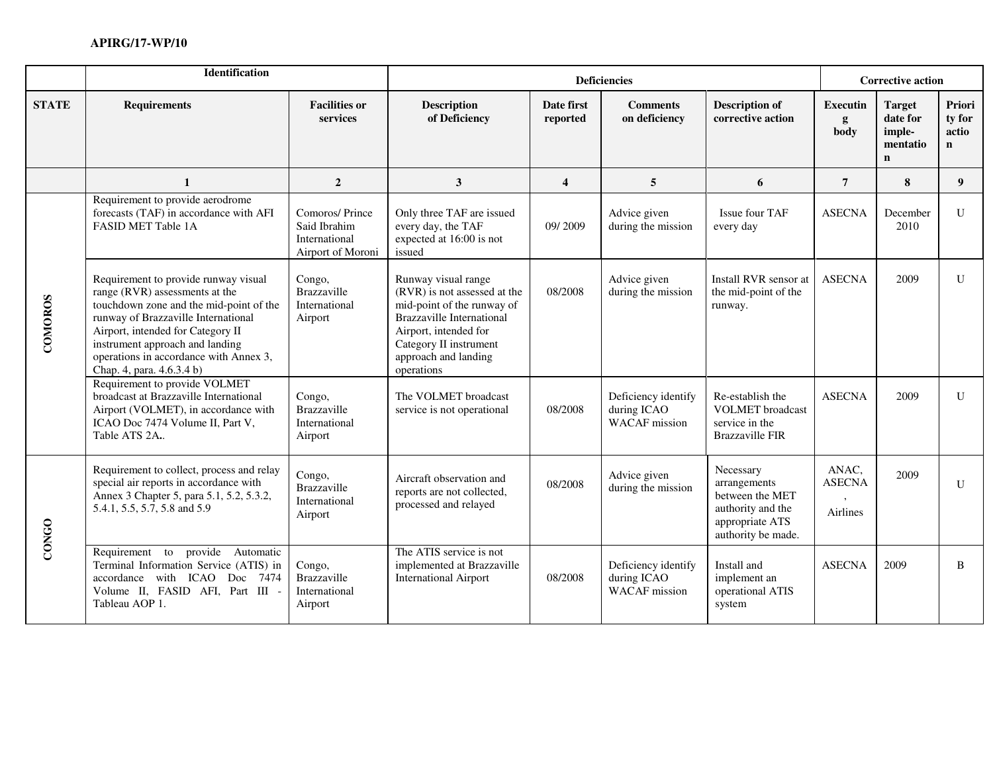|              | Identification                                                                                                                                                                                                                                                                                                                                               |                                                                      |                                                                                                                                                                                                                |                         | <b>Deficiencies</b>                                        |                                                                                                            | <b>Corrective action</b>                  |                                                                |                                          |
|--------------|--------------------------------------------------------------------------------------------------------------------------------------------------------------------------------------------------------------------------------------------------------------------------------------------------------------------------------------------------------------|----------------------------------------------------------------------|----------------------------------------------------------------------------------------------------------------------------------------------------------------------------------------------------------------|-------------------------|------------------------------------------------------------|------------------------------------------------------------------------------------------------------------|-------------------------------------------|----------------------------------------------------------------|------------------------------------------|
| <b>STATE</b> | <b>Requirements</b>                                                                                                                                                                                                                                                                                                                                          | <b>Facilities or</b><br>services                                     | <b>Description</b><br>of Deficiency                                                                                                                                                                            | Date first<br>reported  | <b>Comments</b><br>on deficiency                           | <b>Description of</b><br>corrective action                                                                 | <b>Executin</b><br>g<br>body              | <b>Target</b><br>date for<br>imple-<br>mentatio<br>$\mathbf n$ | Priori<br>ty for<br>actio<br>$\mathbf n$ |
|              | $\mathbf{1}$                                                                                                                                                                                                                                                                                                                                                 | $\overline{2}$                                                       | 3                                                                                                                                                                                                              | $\overline{\mathbf{4}}$ | 5                                                          | 6                                                                                                          | $\overline{7}$                            | 8                                                              | 9 <sup>°</sup>                           |
|              | Requirement to provide aerodrome<br>forecasts (TAF) in accordance with AFI<br>FASID MET Table 1A                                                                                                                                                                                                                                                             | Comoros/Prince<br>Said Ibrahim<br>International<br>Airport of Moroni | Only three TAF are issued<br>every day, the TAF<br>expected at 16:00 is not<br>issued                                                                                                                          | 09/2009                 | Advice given<br>during the mission                         | Issue four TAF<br>every day                                                                                | <b>ASECNA</b>                             | December<br>2010                                               | $\mathbf U$                              |
| COMOROS      | Requirement to provide runway visual<br>Congo,<br>range (RVR) assessments at the<br>Brazzaville<br>touchdown zone and the mid-point of the<br>International<br>runway of Brazzaville International<br>Airport<br>Airport, intended for Category II<br>instrument approach and landing<br>operations in accordance with Annex 3,<br>Chap. 4, para. 4.6.3.4 b) |                                                                      | Runway visual range<br>(RVR) is not assessed at the<br>mid-point of the runway of<br><b>Brazzaville International</b><br>Airport, intended for<br>Category II instrument<br>approach and landing<br>operations | 08/2008                 | Advice given<br>during the mission                         | Install RVR sensor at<br>the mid-point of the<br>runway.                                                   | <b>ASECNA</b>                             | 2009                                                           | $\mathbf U$                              |
|              | Requirement to provide VOLMET<br>broadcast at Brazzaville International<br>Airport (VOLMET), in accordance with<br>ICAO Doc 7474 Volume II, Part V,<br>Table ATS 2A.                                                                                                                                                                                         | Congo,<br>Brazzaville<br>International<br>Airport                    | The VOLMET broadcast<br>service is not operational                                                                                                                                                             | 08/2008                 | Deficiency identify<br>during ICAO<br><b>WACAF</b> mission | Re-establish the<br><b>VOLMET</b> broadcast<br>service in the<br><b>Brazzaville FIR</b>                    | <b>ASECNA</b>                             | 2009                                                           | $\mathbf U$                              |
| CONGO        | Requirement to collect, process and relay<br>special air reports in accordance with<br>Annex 3 Chapter 5, para 5.1, 5.2, 5.3.2,<br>5.4.1, 5.5, 5.7, 5.8 and 5.9                                                                                                                                                                                              | Congo,<br>Brazzaville<br>International<br>Airport                    | Aircraft observation and<br>reports are not collected,<br>processed and relayed                                                                                                                                | 08/2008                 | Advice given<br>during the mission                         | Necessary<br>arrangements<br>between the MET<br>authority and the<br>appropriate ATS<br>authority be made. | ANAC,<br><b>ASECNA</b><br><b>Airlines</b> | 2009                                                           | U                                        |
|              | to provide Automatic<br>Requirement<br>Terminal Information Service (ATIS) in<br>accordance with ICAO Doc 7474<br>Volume II, FASID AFI, Part III -<br>Tableau AOP 1.                                                                                                                                                                                         | Congo,<br>Brazzaville<br>International<br>Airport                    | The ATIS service is not<br>implemented at Brazzaville<br><b>International Airport</b>                                                                                                                          | 08/2008                 | Deficiency identify<br>during ICAO<br><b>WACAF</b> mission | Install and<br>implement an<br>operational ATIS<br>system                                                  | <b>ASECNA</b>                             | 2009                                                           | B                                        |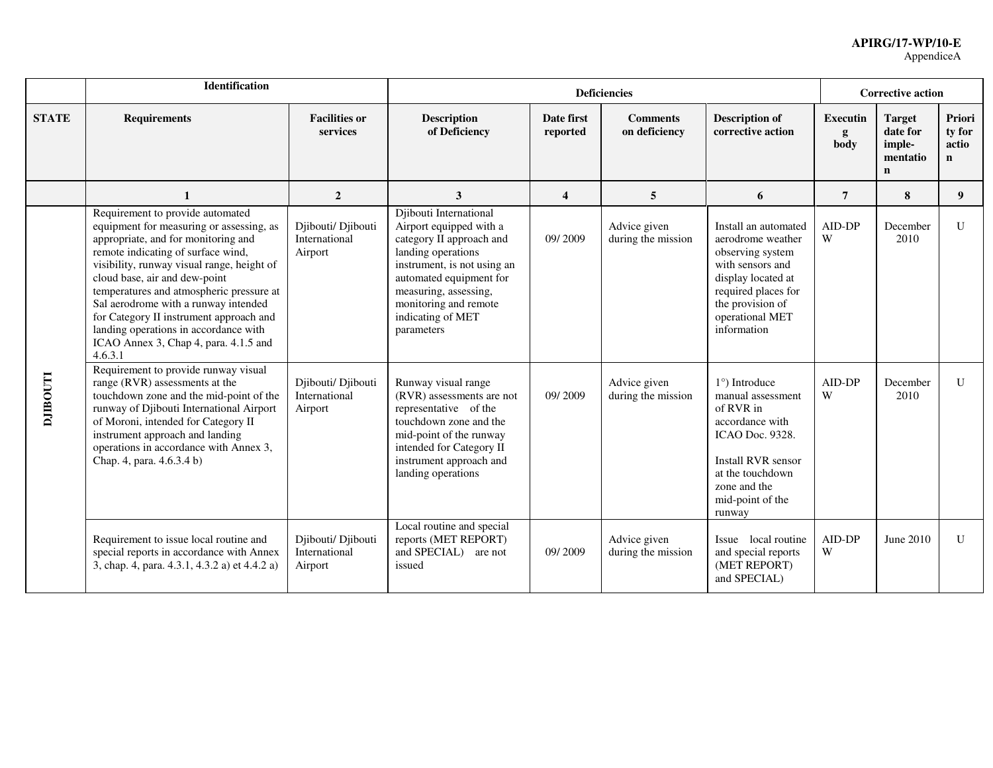|                | <b>Identification</b>                                                                                                                                                                                                                                                                                                                                                                                                                                                |                                                |                                                                                                                                                                                                                                                    |                         | <b>Deficiencies</b>                |                                                                                                                                                                                                | <b>Corrective action</b>     |                                                                |                                          |
|----------------|----------------------------------------------------------------------------------------------------------------------------------------------------------------------------------------------------------------------------------------------------------------------------------------------------------------------------------------------------------------------------------------------------------------------------------------------------------------------|------------------------------------------------|----------------------------------------------------------------------------------------------------------------------------------------------------------------------------------------------------------------------------------------------------|-------------------------|------------------------------------|------------------------------------------------------------------------------------------------------------------------------------------------------------------------------------------------|------------------------------|----------------------------------------------------------------|------------------------------------------|
| <b>STATE</b>   | <b>Requirements</b>                                                                                                                                                                                                                                                                                                                                                                                                                                                  | <b>Facilities or</b><br>services               | <b>Description</b><br>of Deficiency                                                                                                                                                                                                                | Date first<br>reported  | <b>Comments</b><br>on deficiency   | <b>Description of</b><br>corrective action                                                                                                                                                     | <b>Executin</b><br>g<br>body | <b>Target</b><br>date for<br>imple-<br>mentatio<br>$\mathbf n$ | Priori<br>ty for<br>actio<br>$\mathbf n$ |
|                | $\mathbf{1}$                                                                                                                                                                                                                                                                                                                                                                                                                                                         | $\overline{2}$                                 | 3                                                                                                                                                                                                                                                  | $\overline{\mathbf{4}}$ | 5                                  | 6                                                                                                                                                                                              | $\overline{7}$               | 8                                                              | 9                                        |
|                | Requirement to provide automated<br>equipment for measuring or assessing, as<br>appropriate, and for monitoring and<br>remote indicating of surface wind,<br>visibility, runway visual range, height of<br>cloud base, air and dew-point<br>temperatures and atmospheric pressure at<br>Sal aerodrome with a runway intended<br>for Category II instrument approach and<br>landing operations in accordance with<br>ICAO Annex 3, Chap 4, para. 4.1.5 and<br>4.6.3.1 | Djibouti/ Djibouti<br>International<br>Airport | Djibouti International<br>Airport equipped with a<br>category II approach and<br>landing operations<br>instrument, is not using an<br>automated equipment for<br>measuring, assessing,<br>monitoring and remote<br>indicating of MET<br>parameters | 09/2009                 | Advice given<br>during the mission | Install an automated<br>aerodrome weather<br>observing system<br>with sensors and<br>display located at<br>required places for<br>the provision of<br>operational MET<br>information           | AID-DP<br>W                  | December<br>2010                                               | $\mathbf{U}$                             |
| <b>LLOOHIT</b> | Requirement to provide runway visual<br>range (RVR) assessments at the<br>touchdown zone and the mid-point of the<br>runway of Djibouti International Airport<br>of Moroni, intended for Category II<br>instrument approach and landing<br>operations in accordance with Annex 3,<br>Chap. 4, para. 4.6.3.4 b)                                                                                                                                                       | Djibouti/ Djibouti<br>International<br>Airport | Runway visual range<br>(RVR) assessments are not<br>representative of the<br>touchdown zone and the<br>mid-point of the runway<br>intended for Category II<br>instrument approach and<br>landing operations                                        | 09/2009                 | Advice given<br>during the mission | $1^{\circ}$ ) Introduce<br>manual assessment<br>of RVR in<br>accordance with<br><b>ICAO Doc. 9328.</b><br>Install RVR sensor<br>at the touchdown<br>zone and the<br>mid-point of the<br>runway | AID-DP<br>W                  | December<br>2010                                               | U                                        |
|                | Requirement to issue local routine and<br>special reports in accordance with Annex<br>3, chap. 4, para. 4.3.1, 4.3.2 a) et 4.4.2 a)                                                                                                                                                                                                                                                                                                                                  | Djibouti/ Djibouti<br>International<br>Airport | Local routine and special<br>reports (MET REPORT)<br>and SPECIAL) are not<br>issued                                                                                                                                                                | 09/2009                 | Advice given<br>during the mission | Issue local routine<br>and special reports<br>(MET REPORT)<br>and SPECIAL)                                                                                                                     | AID-DP<br>W                  | June 2010                                                      | U                                        |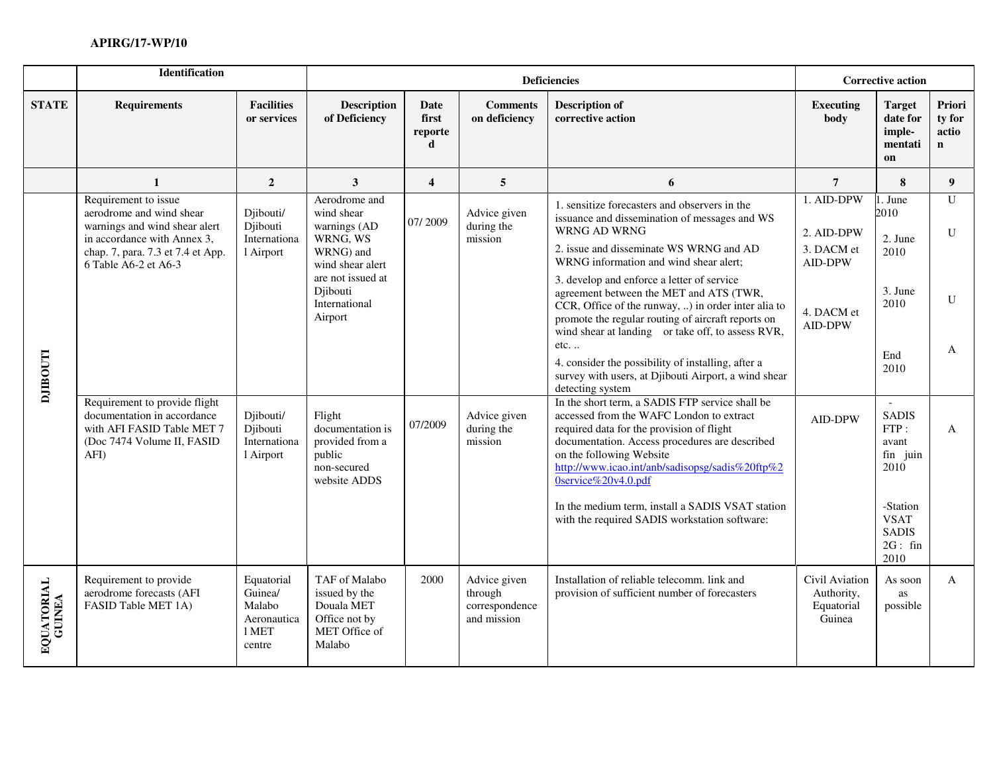|                      | <b>Identification</b>                                                                                                                                                         |                                                                   |                                                                                          |                                         |                                                          | <b>Deficiencies</b>                                                                                                                                                                                                                                                                              |                                                          | <b>Corrective action</b>                                                      |                                           |  |
|----------------------|-------------------------------------------------------------------------------------------------------------------------------------------------------------------------------|-------------------------------------------------------------------|------------------------------------------------------------------------------------------|-----------------------------------------|----------------------------------------------------------|--------------------------------------------------------------------------------------------------------------------------------------------------------------------------------------------------------------------------------------------------------------------------------------------------|----------------------------------------------------------|-------------------------------------------------------------------------------|-------------------------------------------|--|
| <b>STATE</b>         | <b>Requirements</b>                                                                                                                                                           | <b>Facilities</b><br>or services                                  | Description<br>of Deficiency                                                             | Date<br>first<br>reporte<br>$\mathbf d$ | <b>Comments</b><br>on deficiency                         | <b>Description of</b><br>corrective action                                                                                                                                                                                                                                                       | <b>Executing</b><br>body                                 | <b>Target</b><br>date for<br>imple-<br>mentati<br>on                          | Priori<br>ty for<br>actio<br>$\mathbf{n}$ |  |
|                      | 1                                                                                                                                                                             | $\overline{2}$                                                    | $\mathbf{3}$                                                                             | $\overline{\mathbf{4}}$                 | 5                                                        | 6                                                                                                                                                                                                                                                                                                | $7\overline{ }$                                          | 8                                                                             | 9                                         |  |
|                      | Requirement to issue<br>aerodrome and wind shear<br>warnings and wind shear alert<br>in accordance with Annex 3,<br>chap. 7, para. 7.3 et 7.4 et App.<br>6 Table A6-2 et A6-3 | Djibouti/<br>Djibouti<br>Internationa<br>1 Airport                | Aerodrome and<br>wind shear<br>warnings (AD<br>WRNG, WS<br>WRNG) and<br>wind shear alert | 07/2009                                 | Advice given<br>during the<br>mission                    | 1. sensitize forecasters and observers in the<br>issuance and dissemination of messages and WS<br>WRNG AD WRNG<br>2. issue and disseminate WS WRNG and AD<br>WRNG information and wind shear alert;                                                                                              | 1. AID-DPW<br>2. AID-DPW<br>3. DACM et<br><b>AID-DPW</b> | 1. June<br>2010<br>2. June<br>2010                                            | $\mathbf{U}$<br>U                         |  |
|                      |                                                                                                                                                                               |                                                                   | are not issued at<br>Djibouti<br>International<br>Airport                                |                                         |                                                          | 3. develop and enforce a letter of service<br>agreement between the MET and ATS (TWR,<br>CCR, Office of the runway, ) in order inter alia to<br>promote the regular routing of aircraft reports on<br>wind shear at landing or take off, to assess RVR,                                          | 4. DACM et<br>AID-DPW                                    | 3. June<br>2010                                                               | U                                         |  |
| <b>LLOOHIT</b>       |                                                                                                                                                                               |                                                                   |                                                                                          |                                         |                                                          | $etc.$<br>4. consider the possibility of installing, after a<br>survey with users, at Djibouti Airport, a wind shear<br>detecting system                                                                                                                                                         |                                                          | End<br>2010                                                                   | A                                         |  |
|                      | Requirement to provide flight<br>documentation in accordance<br>with AFI FASID Table MET 7<br>(Doc 7474 Volume II, FASID<br>AFI)                                              | Djibouti/<br>Djibouti<br>Internationa<br>1 Airport                | Flight<br>documentation is<br>provided from a<br>public<br>non-secured<br>website ADDS   | 07/2009                                 | Advice given<br>during the<br>mission                    | In the short term, a SADIS FTP service shall be<br>accessed from the WAFC London to extract<br>required data for the provision of flight<br>documentation. Access procedures are described<br>on the following Website<br>http://www.icao.int/anb/sadisopsg/sadis%20ftp%2<br>0service%20v4.0.pdf | AID-DPW                                                  | $\overline{\phantom{a}}$<br><b>SADIS</b><br>FTP:<br>avant<br>fin juin<br>2010 | $\mathsf{A}$                              |  |
|                      |                                                                                                                                                                               |                                                                   |                                                                                          |                                         |                                                          | In the medium term, install a SADIS VSAT station<br>with the required SADIS workstation software:                                                                                                                                                                                                |                                                          | -Station<br><b>VSAT</b><br><b>SADIS</b><br>2G: fin<br>2010                    |                                           |  |
| EQUATORIAL<br>GUINEA | Requirement to provide<br>aerodrome forecasts (AFI<br>FASID Table MET 1A)                                                                                                     | Equatorial<br>Guinea/<br>Malabo<br>Aeronautica<br>1 MET<br>centre | TAF of Malabo<br>issued by the<br>Douala MET<br>Office not by<br>MET Office of<br>Malabo | 2000                                    | Advice given<br>through<br>correspondence<br>and mission | Installation of reliable telecomm. link and<br>provision of sufficient number of forecasters                                                                                                                                                                                                     | Civil Aviation<br>Authority,<br>Equatorial<br>Guinea     | As soon<br>as<br>possible                                                     | $\mathbf{A}$                              |  |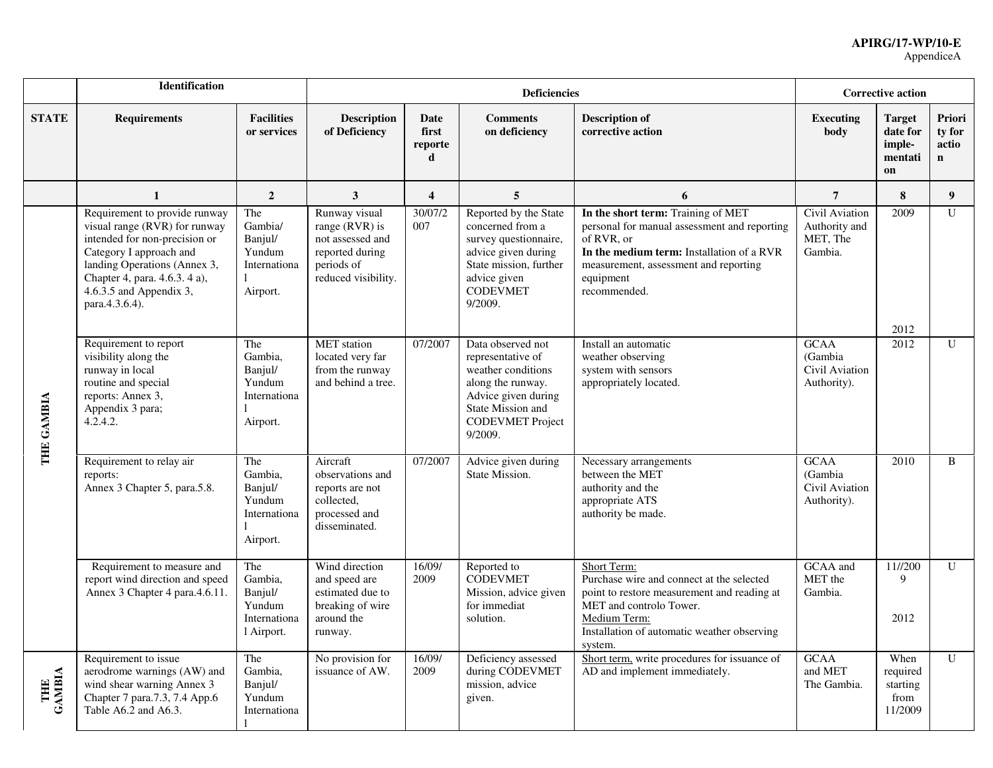|               | Identification                                                                                                                                                                                                                             |                                                                   |                                                                                                               |                               | <b>Deficiencies</b>                                                                                                                                                 |                                                                                                                                                                                                                     |                                                         | <b>Corrective action</b>                             |                                          |
|---------------|--------------------------------------------------------------------------------------------------------------------------------------------------------------------------------------------------------------------------------------------|-------------------------------------------------------------------|---------------------------------------------------------------------------------------------------------------|-------------------------------|---------------------------------------------------------------------------------------------------------------------------------------------------------------------|---------------------------------------------------------------------------------------------------------------------------------------------------------------------------------------------------------------------|---------------------------------------------------------|------------------------------------------------------|------------------------------------------|
| <b>STATE</b>  | <b>Requirements</b>                                                                                                                                                                                                                        | <b>Facilities</b><br>or services                                  | Description<br>of Deficiency                                                                                  | Date<br>first<br>reporte<br>d | <b>Comments</b><br>on deficiency                                                                                                                                    | <b>Description of</b><br>corrective action                                                                                                                                                                          | <b>Executing</b><br>body                                | <b>Target</b><br>date for<br>imple-<br>mentati<br>on | Priori<br>ty for<br>actio<br>$\mathbf n$ |
|               | 1                                                                                                                                                                                                                                          | $\boldsymbol{2}$                                                  | 3                                                                                                             | $\overline{\mathbf{4}}$       | 5                                                                                                                                                                   | 6                                                                                                                                                                                                                   | $\overline{7}$                                          | 8                                                    | 9                                        |
|               | Requirement to provide runway<br>visual range (RVR) for runway<br>intended for non-precision or<br>Category I approach and<br>landing Operations (Annex 3,<br>Chapter 4, para. 4.6.3. 4 a),<br>$4.6.3.5$ and Appendix 3,<br>para.4.3.6.4). | The<br>Gambia/<br>Banjul/<br>Yundum<br>Internationa<br>Airport.   | Runway visual<br>range $(RVR)$ is<br>not assessed and<br>reported during<br>periods of<br>reduced visibility. | 30/07/2<br>007                | Reported by the State<br>concerned from a<br>survey questionnaire,<br>advice given during<br>State mission, further<br>advice given<br><b>CODEVMET</b><br>9/2009.   | In the short term: Training of MET<br>personal for manual assessment and reporting<br>of RVR, or<br>In the medium term: Installation of a RVR<br>measurement, assessment and reporting<br>equipment<br>recommended. | Civil Aviation<br>Authority and<br>MET, The<br>Gambia.  | 2009<br>2012                                         | $\mathbf{U}$                             |
| THE GAMBIA    | Requirement to report<br>The<br>visibility along the<br>Gambia,<br>runway in local<br>Banjul/<br>routine and special<br>Yundum<br>reports: Annex 3,<br>Internationa<br>Appendix 3 para;<br>4.2.4.2.<br>Airport.                            |                                                                   | <b>MET</b> station<br>07/2007<br>located very far<br>from the runway<br>and behind a tree.                    |                               | Data observed not<br>representative of<br>weather conditions<br>along the runway.<br>Advice given during<br>State Mission and<br><b>CODEVMET Project</b><br>9/2009. | Install an automatic<br>weather observing<br>system with sensors<br>appropriately located.                                                                                                                          | <b>GCAA</b><br>(Gambia<br>Civil Aviation<br>Authority). | 2012                                                 | U                                        |
|               | Requirement to relay air<br>reports:<br>Annex 3 Chapter 5, para.5.8.                                                                                                                                                                       | The<br>Gambia,<br>Banjul/<br>Yundum<br>Internationa<br>Airport.   | Aircraft<br>observations and<br>reports are not<br>collected,<br>processed and<br>disseminated.               | 07/2007                       | Advice given during<br>State Mission.                                                                                                                               | Necessary arrangements<br>between the MET<br>authority and the<br>appropriate ATS<br>authority be made.                                                                                                             | <b>GCAA</b><br>(Gambia<br>Civil Aviation<br>Authority). | 2010                                                 | B                                        |
|               | Requirement to measure and<br>report wind direction and speed<br>Annex 3 Chapter 4 para.4.6.11.                                                                                                                                            | The<br>Gambia,<br>Banjul/<br>Yundum<br>Internationa<br>l Airport. | Wind direction<br>and speed are<br>estimated due to<br>breaking of wire<br>around the<br>runway.              | 16/09/<br>2009                | Reported to<br><b>CODEVMET</b><br>Mission, advice given<br>for immediat<br>solution.                                                                                | Short Term:<br>Purchase wire and connect at the selected<br>point to restore measurement and reading at<br>MET and controlo Tower.<br>Medium Term:<br>Installation of automatic weather observing<br>system.        | GCAA and<br>MET the<br>Gambia.                          | 11//200<br>9<br>2012                                 | $\mathbf U$                              |
| THE<br>GAMBIA | Requirement to issue<br>aerodrome warnings (AW) and<br>wind shear warning Annex 3<br>Chapter 7 para.7.3, 7.4 App.6<br>Table A6.2 and A6.3.                                                                                                 | The<br>Gambia,<br>Banjul/<br>Yundum<br>Internationa               | No provision for<br>issuance of AW.                                                                           | 16/09/<br>2009                | Deficiency assessed<br>during CODEVMET<br>mission, advice<br>given.                                                                                                 | Short term, write procedures for issuance of<br>AD and implement immediately.                                                                                                                                       | <b>GCAA</b><br>and MET<br>The Gambia.                   | When<br>required<br>starting<br>from<br>11/2009      | $\mathbf U$                              |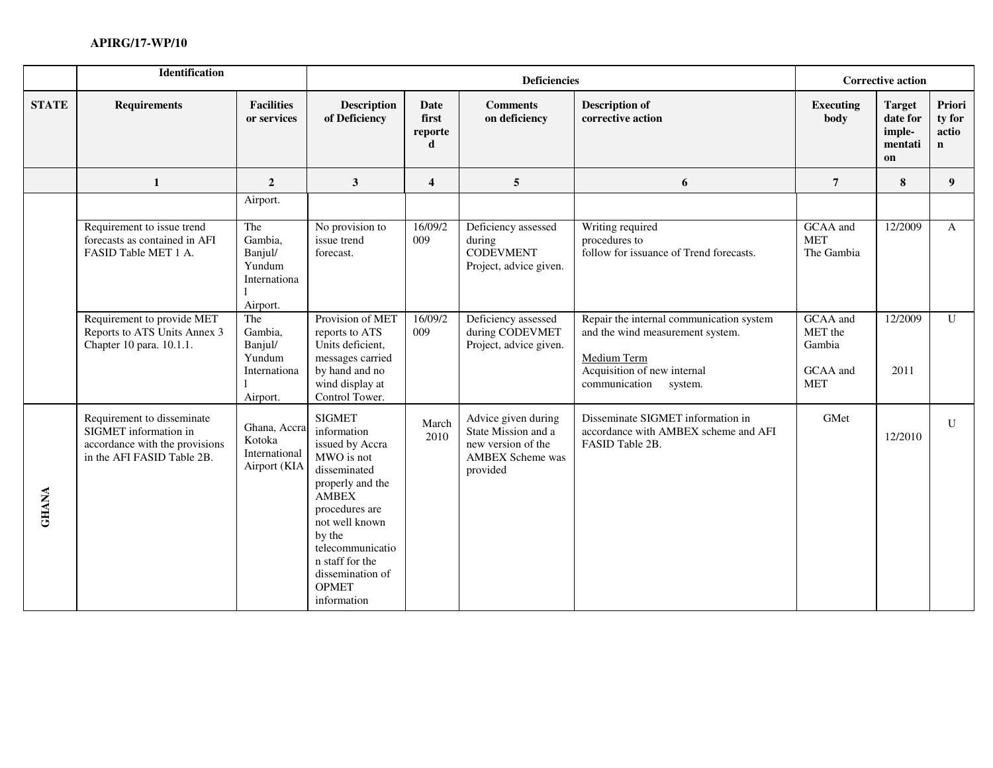|              | <b>Identification</b>                                                                                               |                                                                 |                                                                                                                                                                                                                                                           | <b>Deficiencies</b>           |                                                                                                         |                                                                                                                                                        |                                                         | <b>Corrective action</b>                             |                                          |  |
|--------------|---------------------------------------------------------------------------------------------------------------------|-----------------------------------------------------------------|-----------------------------------------------------------------------------------------------------------------------------------------------------------------------------------------------------------------------------------------------------------|-------------------------------|---------------------------------------------------------------------------------------------------------|--------------------------------------------------------------------------------------------------------------------------------------------------------|---------------------------------------------------------|------------------------------------------------------|------------------------------------------|--|
| <b>STATE</b> | <b>Requirements</b>                                                                                                 | <b>Facilities</b><br>or services                                | <b>Description</b><br>of Deficiency                                                                                                                                                                                                                       | Date<br>first<br>reporte<br>d | <b>Comments</b><br>on deficiency                                                                        | <b>Description of</b><br>corrective action                                                                                                             | <b>Executing</b><br>body                                | <b>Target</b><br>date for<br>imple-<br>mentati<br>on | Priori<br>ty for<br>actio<br>$\mathbf n$ |  |
|              | 1                                                                                                                   | $\overline{2}$                                                  | $\mathbf{3}$                                                                                                                                                                                                                                              | $\overline{4}$                | $5\overline{)}$                                                                                         | 6                                                                                                                                                      | $\overline{7}$                                          | 8                                                    | 9 <sup>°</sup>                           |  |
|              |                                                                                                                     | Airport.                                                        |                                                                                                                                                                                                                                                           |                               |                                                                                                         |                                                                                                                                                        |                                                         |                                                      |                                          |  |
|              | Requirement to issue trend<br>forecasts as contained in AFI<br>FASID Table MET 1 A.                                 | The<br>Gambia,<br>Banjul/<br>Yundum<br>Internationa<br>Airport. | No provision to<br>issue trend<br>forecast.                                                                                                                                                                                                               | 16/09/2<br>009                | Deficiency assessed<br>during<br><b>CODEVMENT</b><br>Project, advice given.                             | Writing required<br>procedures to<br>follow for issuance of Trend forecasts.                                                                           | GCAA and<br><b>MET</b><br>The Gambia                    | 12/2009                                              | $\mathbf{A}$                             |  |
|              | Requirement to provide MET<br>Reports to ATS Units Annex 3<br>Chapter 10 para. 10.1.1.                              | The<br>Gambia,<br>Banjul/<br>Yundum<br>Internationa<br>Airport. | Provision of MET<br>reports to ATS<br>Units deficient,<br>messages carried<br>by hand and no<br>wind display at<br>Control Tower.                                                                                                                         | 16/09/2<br>009                | Deficiency assessed<br>during CODEVMET<br>Project, advice given.                                        | Repair the internal communication system<br>and the wind measurement system.<br>Medium Term<br>Acquisition of new internal<br>communication<br>system. | GCAA and<br>MET the<br>Gambia<br>GCAA and<br><b>MET</b> | 12/2009<br>2011                                      | $\overline{U}$                           |  |
| <b>GHANA</b> | Requirement to disseminate<br>SIGMET information in<br>accordance with the provisions<br>in the AFI FASID Table 2B. | Ghana, Accra<br>Kotoka<br>International<br>Airport (KIA         | <b>SIGMET</b><br>information<br>issued by Accra<br>MWO is not<br>disseminated<br>properly and the<br><b>AMBEX</b><br>procedures are<br>not well known<br>by the<br>telecommunicatio<br>n staff for the<br>dissemination of<br><b>OPMET</b><br>information | March<br>2010                 | Advice given during<br>State Mission and a<br>new version of the<br><b>AMBEX Scheme was</b><br>provided | Disseminate SIGMET information in<br>accordance with AMBEX scheme and AFI<br>FASID Table 2B.                                                           | GMet                                                    | 12/2010                                              | $\mathbf U$                              |  |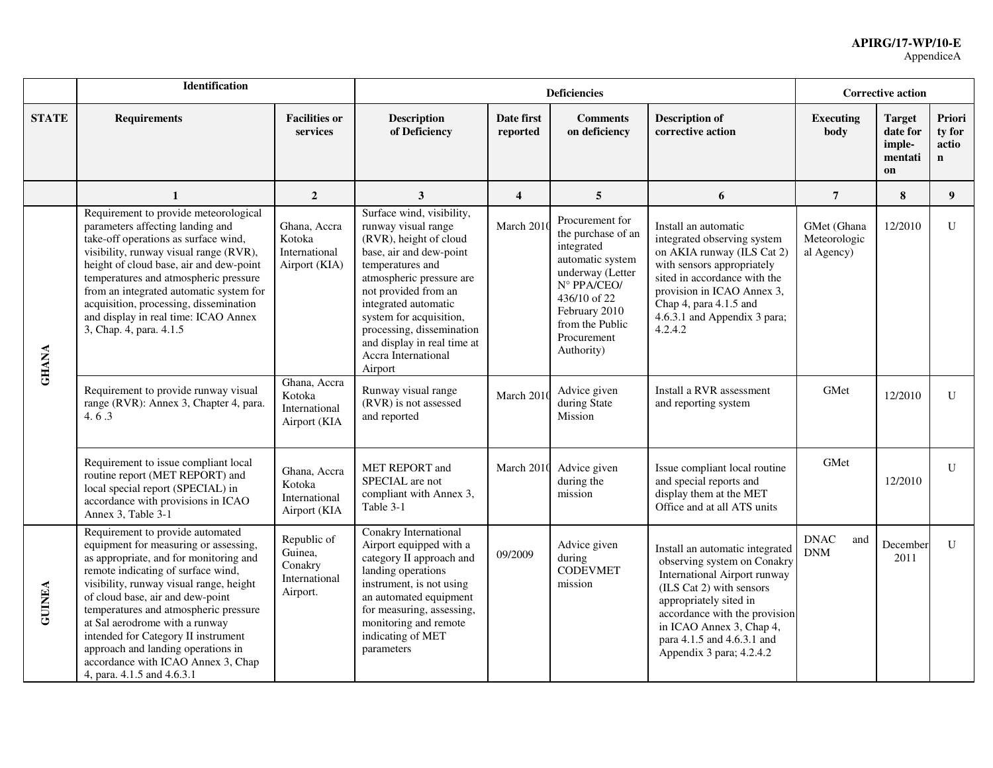|               | <b>Identification</b>                                                                                                                                                                                                                                                                                                                                                                                                                                                |                                                                |                                                                                                                                                                                                                                                                                                                                |                         | <b>Deficiencies</b>                                                                                                                                                                         |                                                                                                                                                                                                                                                                                    |                                           | <b>Corrective action</b>                             |                                |
|---------------|----------------------------------------------------------------------------------------------------------------------------------------------------------------------------------------------------------------------------------------------------------------------------------------------------------------------------------------------------------------------------------------------------------------------------------------------------------------------|----------------------------------------------------------------|--------------------------------------------------------------------------------------------------------------------------------------------------------------------------------------------------------------------------------------------------------------------------------------------------------------------------------|-------------------------|---------------------------------------------------------------------------------------------------------------------------------------------------------------------------------------------|------------------------------------------------------------------------------------------------------------------------------------------------------------------------------------------------------------------------------------------------------------------------------------|-------------------------------------------|------------------------------------------------------|--------------------------------|
| <b>STATE</b>  | <b>Requirements</b>                                                                                                                                                                                                                                                                                                                                                                                                                                                  | <b>Facilities or</b><br>services                               | <b>Description</b><br>of Deficiency                                                                                                                                                                                                                                                                                            | Date first<br>reported  | <b>Comments</b><br>on deficiency                                                                                                                                                            | <b>Description of</b><br>corrective action                                                                                                                                                                                                                                         | <b>Executing</b><br>body                  | <b>Target</b><br>date for<br>imple-<br>mentati<br>on | Priori<br>ty for<br>actio<br>n |
|               | $\mathbf{1}$                                                                                                                                                                                                                                                                                                                                                                                                                                                         | $\overline{2}$                                                 | $\mathbf{3}$                                                                                                                                                                                                                                                                                                                   | $\overline{\mathbf{4}}$ | 5                                                                                                                                                                                           | 6                                                                                                                                                                                                                                                                                  | $\overline{7}$                            | 8                                                    | 9 <sup>°</sup>                 |
| <b>GHANA</b>  | Requirement to provide meteorological<br>parameters affecting landing and<br>take-off operations as surface wind,<br>visibility, runway visual range (RVR),<br>height of cloud base, air and dew-point<br>temperatures and atmospheric pressure<br>from an integrated automatic system for<br>acquisition, processing, dissemination<br>and display in real time: ICAO Annex<br>3, Chap. 4, para. 4.1.5                                                              | Ghana, Accra<br>Kotoka<br>International<br>Airport (KIA)       | Surface wind, visibility,<br>runway visual range<br>(RVR), height of cloud<br>base, air and dew-point<br>temperatures and<br>atmospheric pressure are<br>not provided from an<br>integrated automatic<br>system for acquisition,<br>processing, dissemination<br>and display in real time at<br>Accra International<br>Airport | March 201               | Procurement for<br>the purchase of an<br>integrated<br>automatic system<br>underway (Letter<br>N° PPA/CEO/<br>436/10 of 22<br>February 2010<br>from the Public<br>Procurement<br>Authority) | Install an automatic<br>integrated observing system<br>on AKIA runway (ILS Cat 2)<br>with sensors appropriately<br>sited in accordance with the<br>provision in ICAO Annex 3,<br>Chap 4, para 4.1.5 and<br>4.6.3.1 and Appendix 3 para;<br>4.2.4.2                                 | GMet (Ghana<br>Meteorologic<br>al Agency) | 12/2010                                              | U                              |
|               | Requirement to provide runway visual<br>range (RVR): Annex 3, Chapter 4, para.<br>4.6.3                                                                                                                                                                                                                                                                                                                                                                              | Ghana, Accra<br>Kotoka<br>International<br>Airport (KIA        | Runway visual range<br>(RVR) is not assessed<br>and reported                                                                                                                                                                                                                                                                   | March 2010              | Advice given<br>during State<br>Mission                                                                                                                                                     | Install a RVR assessment<br>and reporting system                                                                                                                                                                                                                                   | GMet                                      | 12/2010                                              | U                              |
|               | Requirement to issue compliant local<br>routine report (MET REPORT) and<br>local special report (SPECIAL) in<br>accordance with provisions in ICAO<br>Annex 3, Table 3-1                                                                                                                                                                                                                                                                                             | Ghana, Accra<br>Kotoka<br>International<br>Airport (KIA        | <b>MET REPORT</b> and<br>SPECIAL are not<br>compliant with Annex 3,<br>Table 3-1                                                                                                                                                                                                                                               | March 2010              | Advice given<br>during the<br>mission                                                                                                                                                       | Issue compliant local routine<br>and special reports and<br>display them at the MET<br>Office and at all ATS units                                                                                                                                                                 | GMet                                      | 12/2010                                              | $\mathbf{U}$                   |
| <b>GUINEA</b> | Requirement to provide automated<br>equipment for measuring or assessing,<br>as appropriate, and for monitoring and<br>remote indicating of surface wind,<br>visibility, runway visual range, height<br>of cloud base, air and dew-point<br>temperatures and atmospheric pressure<br>at Sal aerodrome with a runway<br>intended for Category II instrument<br>approach and landing operations in<br>accordance with ICAO Annex 3, Chap<br>4, para. 4.1.5 and 4.6.3.1 | Republic of<br>Guinea,<br>Conakry<br>International<br>Airport. | Conakry International<br>Airport equipped with a<br>category II approach and<br>landing operations<br>instrument, is not using<br>an automated equipment<br>for measuring, assessing,<br>monitoring and remote<br>indicating of MET<br>parameters                                                                              | 09/2009                 | Advice given<br>during<br><b>CODEVMET</b><br>mission                                                                                                                                        | Install an automatic integrated<br>observing system on Conakry<br><b>International Airport runway</b><br>(ILS Cat 2) with sensors<br>appropriately sited in<br>accordance with the provision<br>in ICAO Annex 3, Chap 4,<br>para 4.1.5 and 4.6.3.1 and<br>Appendix 3 para; 4.2.4.2 | <b>DNAC</b><br>and<br><b>DNM</b>          | December<br>2011                                     | $\mathbf{U}$                   |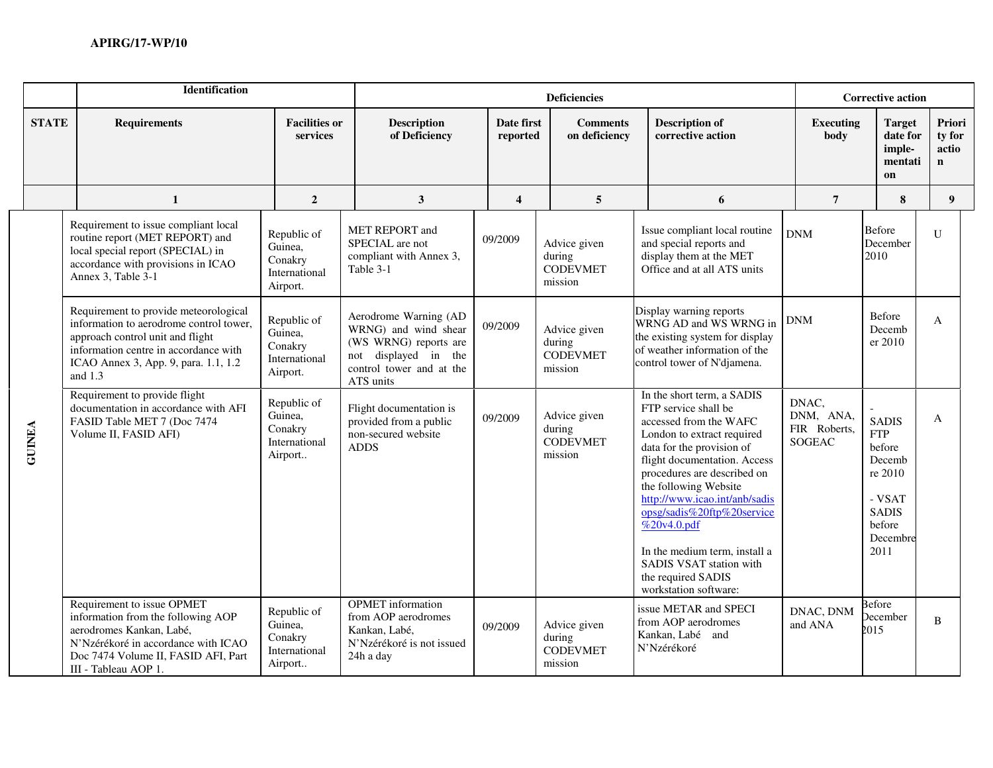|               | <b>Identification</b>                                                                                                                                                                                            |                                                                |                                                                                                                                         |                         | <b>Deficiencies</b>                                  |                                                                                                                                                                                                                                                                                                                                                                                                                          |                                              | <b>Corrective action</b>                                                                                          |                                          |
|---------------|------------------------------------------------------------------------------------------------------------------------------------------------------------------------------------------------------------------|----------------------------------------------------------------|-----------------------------------------------------------------------------------------------------------------------------------------|-------------------------|------------------------------------------------------|--------------------------------------------------------------------------------------------------------------------------------------------------------------------------------------------------------------------------------------------------------------------------------------------------------------------------------------------------------------------------------------------------------------------------|----------------------------------------------|-------------------------------------------------------------------------------------------------------------------|------------------------------------------|
| <b>STATE</b>  | <b>Requirements</b>                                                                                                                                                                                              | <b>Facilities or</b><br>services                               | <b>Description</b><br>of Deficiency                                                                                                     | Date first<br>reported  | <b>Comments</b><br>on deficiency                     | <b>Description of</b><br>corrective action                                                                                                                                                                                                                                                                                                                                                                               | <b>Executing</b><br>body                     | <b>Target</b><br>date for<br>imple-<br>mentati<br>on                                                              | Priori<br>ty for<br>actio<br>$\mathbf n$ |
|               | $\mathbf{1}$                                                                                                                                                                                                     | $\overline{2}$                                                 | $\mathbf{3}$                                                                                                                            | $\overline{\mathbf{4}}$ | $\overline{5}$                                       | 6                                                                                                                                                                                                                                                                                                                                                                                                                        | $\overline{7}$                               | 8                                                                                                                 | 9                                        |
|               | Requirement to issue compliant local<br>routine report (MET REPORT) and<br>local special report (SPECIAL) in<br>accordance with provisions in ICAO<br>Annex 3, Table 3-1                                         | Republic of<br>Guinea,<br>Conakry<br>International<br>Airport. | MET REPORT and<br>SPECIAL are not<br>compliant with Annex 3,<br>Table 3-1                                                               | 09/2009                 | Advice given<br>during<br><b>CODEVMET</b><br>mission | Issue compliant local routine<br>and special reports and<br>display them at the MET<br>Office and at all ATS units                                                                                                                                                                                                                                                                                                       | <b>DNM</b>                                   | Before<br>December<br>2010                                                                                        | $\mathbf{U}$                             |
|               | Requirement to provide meteorological<br>information to aerodrome control tower,<br>approach control unit and flight<br>information centre in accordance with<br>ICAO Annex 3, App. 9, para. 1.1, 1.2<br>and 1.3 | Republic of<br>Guinea,<br>Conakry<br>International<br>Airport. | Aerodrome Warning (AD<br>WRNG) and wind shear<br>(WS WRNG) reports are<br>not displayed in the<br>control tower and at the<br>ATS units | 09/2009                 | Advice given<br>during<br><b>CODEVMET</b><br>mission | Display warning reports<br>WRNG AD and WS WRNG in<br>the existing system for display<br>of weather information of the<br>control tower of N'djamena.                                                                                                                                                                                                                                                                     | DNM                                          | Before<br>Decemb<br>er 2010                                                                                       | $\mathbf{A}$                             |
| <b>GUINEA</b> | Requirement to provide flight<br>documentation in accordance with AFI<br>FASID Table MET 7 (Doc 7474<br>Volume II, FASID AFI)                                                                                    | Republic of<br>Guinea,<br>Conakry<br>International<br>Airport  | Flight documentation is<br>provided from a public<br>non-secured website<br><b>ADDS</b>                                                 | 09/2009                 | Advice given<br>during<br><b>CODEVMET</b><br>mission | In the short term, a SADIS<br>FTP service shall be<br>accessed from the WAFC<br>London to extract required<br>data for the provision of<br>flight documentation. Access<br>procedures are described on<br>the following Website<br>http://www.icao.int/anb/sadis<br>opsg/sadis%20ftp%20service<br>%20v4.0.pdf<br>In the medium term, install a<br>SADIS VSAT station with<br>the required SADIS<br>workstation software: | DNAC,<br>DNM, ANA,<br>FIR Roberts,<br>SOGEAC | <b>SADIS</b><br><b>FTP</b><br>before<br>Decemb<br>re 2010<br>- VSAT<br><b>SADIS</b><br>before<br>Decembre<br>2011 | $\mathbf{A}$                             |
|               | Requirement to issue OPMET<br>information from the following AOP<br>aerodromes Kankan, Labé,<br>N'Nzérékoré in accordance with ICAO<br>Doc 7474 Volume II, FASID AFI, Part<br>III - Tableau AOP 1.               | Republic of<br>Guinea,<br>Conakry<br>International<br>Airport  | <b>OPMET</b> information<br>from AOP aerodromes<br>Kankan, Labé,<br>N'Nzérékoré is not issued<br>24h a day                              | 09/2009                 | Advice given<br>during<br><b>CODEVMET</b><br>mission | issue METAR and SPECI<br>from AOP aerodromes<br>Kankan, Labé and<br>N'Nzérékoré                                                                                                                                                                                                                                                                                                                                          | DNAC, DNM<br>and ANA                         | defore<br><b>December</b><br>2015                                                                                 | $\mathbf B$                              |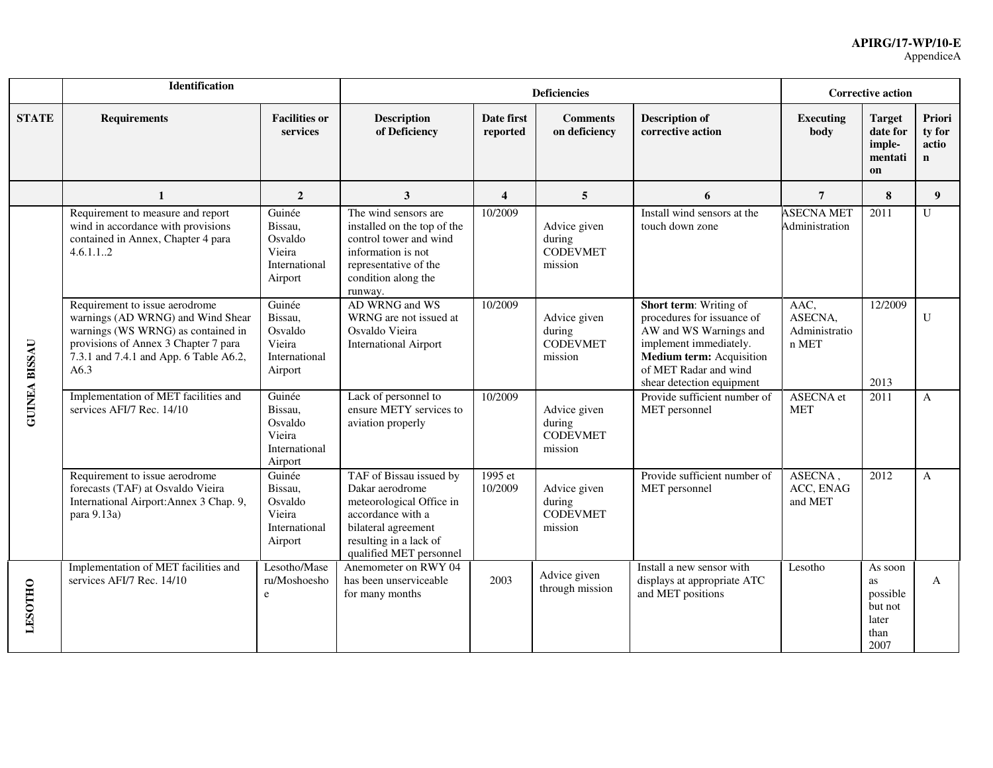|                      | Identification                                                                                                                                                                                      |                                                                    |                                                                                                                                                                         |                         | <b>Deficiencies</b>                                  |                                                                                                                                                                                                          | <b>Corrective action</b>                  |                                                               |                                          |
|----------------------|-----------------------------------------------------------------------------------------------------------------------------------------------------------------------------------------------------|--------------------------------------------------------------------|-------------------------------------------------------------------------------------------------------------------------------------------------------------------------|-------------------------|------------------------------------------------------|----------------------------------------------------------------------------------------------------------------------------------------------------------------------------------------------------------|-------------------------------------------|---------------------------------------------------------------|------------------------------------------|
| <b>STATE</b>         | <b>Requirements</b>                                                                                                                                                                                 | <b>Facilities or</b><br>services                                   | <b>Description</b><br>of Deficiency                                                                                                                                     | Date first<br>reported  | <b>Comments</b><br>on deficiency                     | <b>Description of</b><br>corrective action                                                                                                                                                               | <b>Executing</b><br>body                  | <b>Target</b><br>date for<br>imple-<br>mentati<br>on          | Priori<br>ty for<br>actio<br>$\mathbf n$ |
|                      | $\mathbf{1}$                                                                                                                                                                                        | $\overline{2}$                                                     | 3                                                                                                                                                                       | $\overline{\mathbf{4}}$ | 5                                                    | 6                                                                                                                                                                                                        | $\overline{7}$                            | 8                                                             | 9                                        |
|                      | Requirement to measure and report<br>wind in accordance with provisions<br>contained in Annex, Chapter 4 para<br>4.6.1.12                                                                           | Guinée<br>Bissau,<br>Osvaldo<br>Vieira<br>International<br>Airport | The wind sensors are<br>installed on the top of the<br>control tower and wind<br>information is not<br>representative of the<br>condition along the<br>runway.          | 10/2009                 | Advice given<br>during<br><b>CODEVMET</b><br>mission | Install wind sensors at the<br>touch down zone                                                                                                                                                           | <b>ASECNA MET</b><br>Administration       | 2011                                                          | U                                        |
| <b>GUINEA BISSAU</b> | Requirement to issue aerodrome<br>warnings (AD WRNG) and Wind Shear<br>warnings (WS WRNG) as contained in<br>provisions of Annex 3 Chapter 7 para<br>7.3.1 and 7.4.1 and App. 6 Table A6.2,<br>A6.3 | Guinée<br>Bissau,<br>Osvaldo<br>Vieira<br>International<br>Airport | AD WRNG and WS<br>WRNG are not issued at<br>Osvaldo Vieira<br><b>International Airport</b>                                                                              | 10/2009                 | Advice given<br>during<br><b>CODEVMET</b><br>mission | <b>Short term:</b> Writing of<br>procedures for issuance of<br>AW and WS Warnings and<br>implement immediately.<br><b>Medium term:</b> Acquisition<br>of MET Radar and wind<br>shear detection equipment | AAC,<br>ASECNA.<br>Administratio<br>n MET | 12/2009<br>2013                                               | $\mathbf{U}$                             |
|                      | Implementation of MET facilities and<br>services AFI/7 Rec. 14/10                                                                                                                                   | Guinée<br>Bissau,<br>Osvaldo<br>Vieira<br>International<br>Airport | Lack of personnel to<br>ensure METY services to<br>aviation properly                                                                                                    | 10/2009                 | Advice given<br>during<br><b>CODEVMET</b><br>mission | Provide sufficient number of<br>MET personnel                                                                                                                                                            | ASECNA et<br><b>MET</b>                   | 2011                                                          | $\mathbf{A}$                             |
|                      | Requirement to issue aerodrome<br>forecasts (TAF) at Osvaldo Vieira<br>International Airport: Annex 3 Chap. 9,<br>para 9.13a)                                                                       | Guinée<br>Bissau,<br>Osvaldo<br>Vieira<br>International<br>Airport | TAF of Bissau issued by<br>Dakar aerodrome<br>meteorological Office in<br>accordance with a<br>bilateral agreement<br>resulting in a lack of<br>qualified MET personnel | 1995 et<br>10/2009      | Advice given<br>during<br><b>CODEVMET</b><br>mission | Provide sufficient number of<br>MET personnel                                                                                                                                                            | ASECNA,<br>ACC, ENAG<br>and MET           | 2012                                                          | A                                        |
| <b>LESOTHO</b>       | Implementation of MET facilities and<br>services AFI/7 Rec. 14/10                                                                                                                                   | Lesotho/Mase<br>ru/Moshoesho<br>e                                  | Anemometer on RWY 04<br>has been unserviceable<br>for many months                                                                                                       | 2003                    | Advice given<br>through mission                      | Install a new sensor with<br>displays at appropriate ATC<br>and MET positions                                                                                                                            | Lesotho                                   | As soon<br>as<br>possible<br>but not<br>later<br>than<br>2007 | A                                        |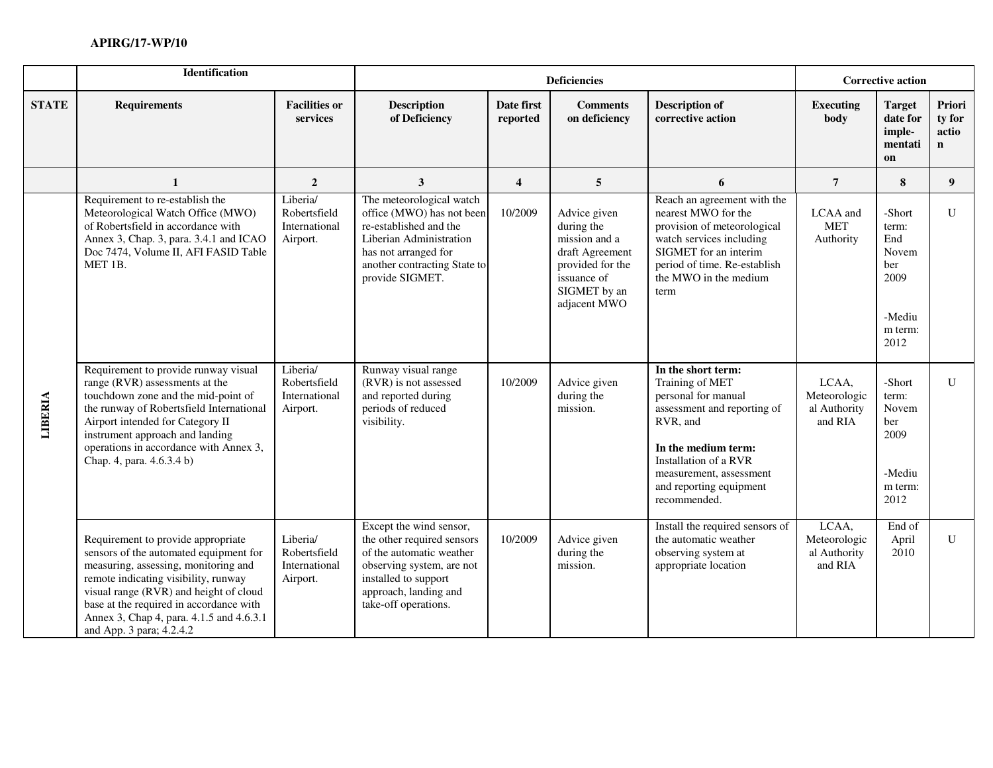|              | Identification                                                                                                                                                                                                                                                                                                            |                                                       | <b>Deficiencies</b>                                                                                                                                                                     |                         |                                                                                                                                   |                                                                                                                                                                                                                               | <b>Corrective action</b>                         |                                                                             |                                          |
|--------------|---------------------------------------------------------------------------------------------------------------------------------------------------------------------------------------------------------------------------------------------------------------------------------------------------------------------------|-------------------------------------------------------|-----------------------------------------------------------------------------------------------------------------------------------------------------------------------------------------|-------------------------|-----------------------------------------------------------------------------------------------------------------------------------|-------------------------------------------------------------------------------------------------------------------------------------------------------------------------------------------------------------------------------|--------------------------------------------------|-----------------------------------------------------------------------------|------------------------------------------|
| <b>STATE</b> | <b>Requirements</b>                                                                                                                                                                                                                                                                                                       | <b>Facilities or</b><br>services                      | <b>Description</b><br>of Deficiency                                                                                                                                                     | Date first<br>reported  | <b>Comments</b><br>on deficiency                                                                                                  | <b>Description of</b><br>corrective action                                                                                                                                                                                    | <b>Executing</b><br>body                         | <b>Target</b><br>date for<br>imple-<br>mentati<br>on                        | Priori<br>ty for<br>actio<br>$\mathbf n$ |
|              | $\mathbf{1}$                                                                                                                                                                                                                                                                                                              | $\overline{2}$                                        | 3                                                                                                                                                                                       | $\overline{\mathbf{4}}$ | 5                                                                                                                                 | 6                                                                                                                                                                                                                             | $\overline{7}$                                   | 8                                                                           | 9 <sup>°</sup>                           |
|              | Requirement to re-establish the<br>Meteorological Watch Office (MWO)<br>of Robertsfield in accordance with<br>Annex 3, Chap. 3, para. 3.4.1 and ICAO<br>Doc 7474, Volume II, AFI FASID Table<br>MET 1B.                                                                                                                   | Liberia/<br>Robertsfield<br>International<br>Airport. | The meteorological watch<br>office (MWO) has not been<br>re-established and the<br>Liberian Administration<br>has not arranged for<br>another contracting State to<br>provide SIGMET.   | 10/2009                 | Advice given<br>during the<br>mission and a<br>draft Agreement<br>provided for the<br>issuance of<br>SIGMET by an<br>adjacent MWO | Reach an agreement with the<br>nearest MWO for the<br>provision of meteorological<br>watch services including<br>SIGMET for an interim<br>period of time. Re-establish<br>the MWO in the medium<br>term                       | LCAA and<br><b>MET</b><br>Authority              | -Short<br>term:<br>End<br>Novem<br>ber<br>2009<br>-Mediu<br>m term:<br>2012 | $\mathbf{U}$                             |
| LIBERIA      | Requirement to provide runway visual<br>range (RVR) assessments at the<br>touchdown zone and the mid-point of<br>the runway of Robertsfield International<br>Airport intended for Category II<br>instrument approach and landing<br>operations in accordance with Annex 3,<br>Chap. 4, para. 4.6.3.4 b)                   | Liberia/<br>Robertsfield<br>International<br>Airport. | Runway visual range<br>(RVR) is not assessed<br>and reported during<br>periods of reduced<br>visibility.                                                                                | 10/2009                 | Advice given<br>during the<br>mission.                                                                                            | In the short term:<br>Training of MET<br>personal for manual<br>assessment and reporting of<br>RVR, and<br>In the medium term:<br>Installation of a RVR<br>measurement, assessment<br>and reporting equipment<br>recommended. | LCAA,<br>Meteorologic<br>al Authority<br>and RIA | -Short<br>term:<br>Novem<br>ber<br>2009<br>-Mediu<br>m term:<br>2012        | $\mathbf{U}$                             |
|              | Requirement to provide appropriate<br>sensors of the automated equipment for<br>measuring, assessing, monitoring and<br>remote indicating visibility, runway<br>visual range (RVR) and height of cloud<br>base at the required in accordance with<br>Annex 3, Chap 4, para. 4.1.5 and 4.6.3.1<br>and App. 3 para; 4.2.4.2 | Liberia/<br>Robertsfield<br>International<br>Airport. | Except the wind sensor,<br>the other required sensors<br>of the automatic weather<br>observing system, are not<br>installed to support<br>approach, landing and<br>take-off operations. | 10/2009                 | Advice given<br>during the<br>mission.                                                                                            | Install the required sensors of<br>the automatic weather<br>observing system at<br>appropriate location                                                                                                                       | LCAA,<br>Meteorologic<br>al Authority<br>and RIA | End of<br>April<br>2010                                                     | U                                        |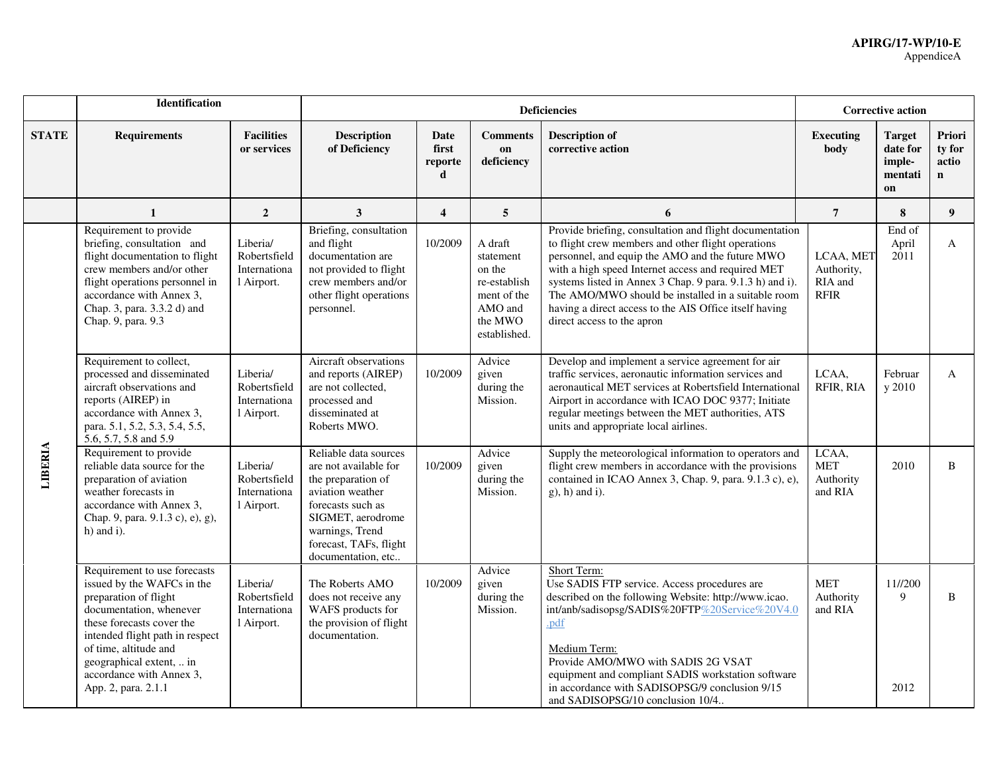#### **APIRG/17-WP/10-E** AppendiceA

|              | <b>Identification</b>                                                                                                                                                                                                                                                                  |                                                        |                                                                                                                                                                                                       | <b>Corrective action</b>      |                                                                                                     |                                                                                                                                                                                                                                                                                                                                                                                                                                  |                                                   |                                                      |                                |
|--------------|----------------------------------------------------------------------------------------------------------------------------------------------------------------------------------------------------------------------------------------------------------------------------------------|--------------------------------------------------------|-------------------------------------------------------------------------------------------------------------------------------------------------------------------------------------------------------|-------------------------------|-----------------------------------------------------------------------------------------------------|----------------------------------------------------------------------------------------------------------------------------------------------------------------------------------------------------------------------------------------------------------------------------------------------------------------------------------------------------------------------------------------------------------------------------------|---------------------------------------------------|------------------------------------------------------|--------------------------------|
| <b>STATE</b> | <b>Requirements</b>                                                                                                                                                                                                                                                                    | <b>Facilities</b><br>or services                       | <b>Description</b><br>of Deficiency                                                                                                                                                                   | Date<br>first<br>reporte<br>d | <b>Comments</b><br>on<br>deficiency                                                                 | <b>Description of</b><br>corrective action                                                                                                                                                                                                                                                                                                                                                                                       | <b>Executing</b><br>body                          | <b>Target</b><br>date for<br>imple-<br>mentati<br>on | Priori<br>ty for<br>actio<br>n |
|              | $\mathbf{1}$                                                                                                                                                                                                                                                                           | $\overline{2}$                                         | $\mathbf{3}$                                                                                                                                                                                          | $\overline{4}$                | 5                                                                                                   | 6                                                                                                                                                                                                                                                                                                                                                                                                                                | $\overline{7}$                                    | 8                                                    | 9 <sup>°</sup>                 |
| LIBERIA      | Requirement to provide<br>briefing, consultation and<br>flight documentation to flight<br>crew members and/or other<br>flight operations personnel in<br>accordance with Annex 3,<br>Chap. 3, para. 3.3.2 d) and<br>Chap. 9, para. 9.3                                                 | Liberia/<br>Robertsfield<br>Internationa<br>1 Airport. | Briefing, consultation<br>and flight<br>documentation are<br>not provided to flight<br>crew members and/or<br>other flight operations<br>personnel.                                                   | 10/2009                       | A draft<br>statement<br>on the<br>re-establish<br>ment of the<br>AMO and<br>the MWO<br>established. | Provide briefing, consultation and flight documentation<br>to flight crew members and other flight operations<br>personnel, and equip the AMO and the future MWO<br>with a high speed Internet access and required MET<br>systems listed in Annex 3 Chap. 9 para. 9.1.3 h) and i).<br>The AMO/MWO should be installed in a suitable room<br>having a direct access to the AIS Office itself having<br>direct access to the apron | LCAA, MET<br>Authority,<br>RIA and<br><b>RFIR</b> | End of<br>April<br>2011                              | A                              |
|              | Requirement to collect,<br>processed and disseminated<br>aircraft observations and<br>reports (AIREP) in<br>accordance with Annex 3,<br>para. 5.1, 5.2, 5.3, 5.4, 5.5,<br>5.6, 5.7, 5.8 and 5.9                                                                                        | Liberia/<br>Robertsfield<br>Internationa<br>1 Airport. | Aircraft observations<br>and reports (AIREP)<br>are not collected,<br>processed and<br>disseminated at<br>Roberts MWO.                                                                                | 10/2009                       | Advice<br>given<br>during the<br>Mission.                                                           | Develop and implement a service agreement for air<br>traffic services, aeronautic information services and<br>aeronautical MET services at Robertsfield International<br>Airport in accordance with ICAO DOC 9377; Initiate<br>regular meetings between the MET authorities, ATS<br>units and appropriate local airlines.                                                                                                        | LCAA,<br>RFIR, RIA                                | Februar<br>y 2010                                    | A                              |
|              | Requirement to provide<br>reliable data source for the<br>preparation of aviation<br>weather forecasts in<br>accordance with Annex 3,<br>Chap. 9, para. 9.1.3 c), e), g),<br>$h)$ and i).                                                                                              | Liberia/<br>Robertsfield<br>Internationa<br>1 Airport. | Reliable data sources<br>are not available for<br>the preparation of<br>aviation weather<br>forecasts such as<br>SIGMET, aerodrome<br>warnings, Trend<br>forecast, TAFs, flight<br>documentation, etc | 10/2009                       | Advice<br>given<br>during the<br>Mission.                                                           | Supply the meteorological information to operators and<br>flight crew members in accordance with the provisions<br>contained in ICAO Annex 3, Chap. 9, para. 9.1.3 c), e),<br>$g$ ), h) and i).                                                                                                                                                                                                                                  | LCAA,<br><b>MET</b><br>Authority<br>and RIA       | 2010                                                 | B.                             |
|              | Requirement to use forecasts<br>issued by the WAFCs in the<br>preparation of flight<br>documentation, whenever<br>these forecasts cover the<br>intended flight path in respect<br>of time, altitude and<br>geographical extent,  in<br>accordance with Annex 3,<br>App. 2, para. 2.1.1 | Liberia/<br>Robertsfield<br>Internationa<br>1 Airport. | The Roberts AMO<br>does not receive any<br>WAFS products for<br>the provision of flight<br>documentation.                                                                                             | 10/2009                       | Advice<br>given<br>during the<br>Mission.                                                           | Short Term:<br>Use SADIS FTP service. Access procedures are<br>described on the following Website: http://www.icao.<br>int/anb/sadisopsg/SADIS%20FTP%20Service%20V4.0<br>.pdf<br>Medium Term:<br>Provide AMO/MWO with SADIS 2G VSAT<br>equipment and compliant SADIS workstation software<br>in accordance with SADISOPSG/9 conclusion 9/15<br>and SADISOPSG/10 conclusion 10/4                                                  | <b>MET</b><br>Authority<br>and RIA                | 11//200<br>9<br>2012                                 | B                              |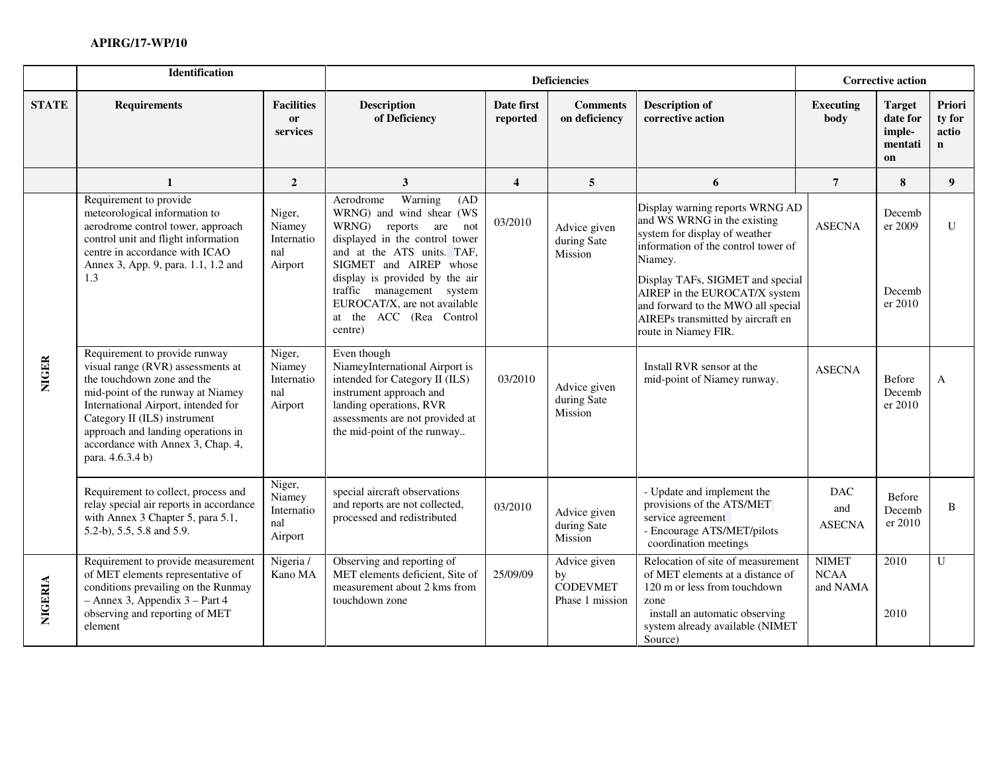|              | Identification                                                                                                                                                                                                                                                                                              |                                                  |                                                                                                                                                                                                                                                                                                                        | <b>Corrective action</b> |                                                          |                                                                                                                                                                                                                                                                                                                           |                                         |                                                      |                                          |
|--------------|-------------------------------------------------------------------------------------------------------------------------------------------------------------------------------------------------------------------------------------------------------------------------------------------------------------|--------------------------------------------------|------------------------------------------------------------------------------------------------------------------------------------------------------------------------------------------------------------------------------------------------------------------------------------------------------------------------|--------------------------|----------------------------------------------------------|---------------------------------------------------------------------------------------------------------------------------------------------------------------------------------------------------------------------------------------------------------------------------------------------------------------------------|-----------------------------------------|------------------------------------------------------|------------------------------------------|
| <b>STATE</b> | <b>Requirements</b>                                                                                                                                                                                                                                                                                         | <b>Facilities</b><br><b>or</b><br>services       | <b>Description</b><br>of Deficiency                                                                                                                                                                                                                                                                                    | Date first<br>reported   | <b>Comments</b><br>on deficiency                         | <b>Description of</b><br>corrective action                                                                                                                                                                                                                                                                                | <b>Executing</b><br>body                | <b>Target</b><br>date for<br>imple-<br>mentati<br>on | Priori<br>ty for<br>actio<br>$\mathbf n$ |
|              | $\mathbf{1}$                                                                                                                                                                                                                                                                                                | $\overline{2}$                                   | $\mathbf{3}$                                                                                                                                                                                                                                                                                                           | $\overline{\mathbf{4}}$  | 5                                                        | 6                                                                                                                                                                                                                                                                                                                         | $\overline{7}$                          | 8                                                    | 9 <sup>°</sup>                           |
|              | Requirement to provide<br>meteorological information to<br>aerodrome control tower, approach<br>control unit and flight information<br>centre in accordance with ICAO<br>Annex 3, App. 9, para. 1.1, 1.2 and<br>1.3                                                                                         | Niger,<br>Niamey<br>Internatio<br>nal<br>Airport | Warning<br>Aerodrome<br>(AD)<br>WRNG) and wind shear (WS<br>WRNG)<br>reports are<br>not<br>displayed in the control tower<br>and at the ATS units. TAF,<br>SIGMET and AIREP whose<br>display is provided by the air<br>traffic management system<br>EUROCAT/X, are not available<br>at the ACC (Rea Control<br>centre) | 03/2010                  | Advice given<br>during Sate<br>Mission                   | Display warning reports WRNG AD<br>and WS WRNG in the existing<br>system for display of weather<br>information of the control tower of<br>Niamey.<br>Display TAFs, SIGMET and special<br>AIREP in the EUROCAT/X system<br>and forward to the MWO all special<br>AIREPs transmitted by aircraft en<br>route in Niamey FIR. | <b>ASECNA</b>                           | Decemb<br>er 2009<br>Decemb<br>er 2010               | $\mathbf U$                              |
| <b>NIGER</b> | Requirement to provide runway<br>visual range (RVR) assessments at<br>the touchdown zone and the<br>mid-point of the runway at Niamey<br>International Airport, intended for<br>Category II (ILS) instrument<br>approach and landing operations in<br>accordance with Annex 3, Chap. 4,<br>para. 4.6.3.4 b) | Niger,<br>Niamey<br>Internatio<br>nal<br>Airport | Even though<br>NiameyInternational Airport is<br>intended for Category II (ILS)<br>instrument approach and<br>landing operations, RVR<br>assessments are not provided at<br>the mid-point of the runway                                                                                                                | 03/2010                  | Advice given<br>during Sate<br>Mission                   | Install RVR sensor at the<br>mid-point of Niamey runway.                                                                                                                                                                                                                                                                  | <b>ASECNA</b>                           | Before<br>Decemb<br>er 2010                          | $\mathbf{A}$                             |
|              | Requirement to collect, process and<br>relay special air reports in accordance<br>with Annex 3 Chapter 5, para 5.1,<br>5.2-b), 5.5, 5.8 and 5.9.                                                                                                                                                            | Niger,<br>Niamey<br>Internatio<br>nal<br>Airport | special aircraft observations<br>and reports are not collected,<br>processed and redistributed                                                                                                                                                                                                                         | 03/2010                  | Advice given<br>during Sate<br>Mission                   | - Update and implement the<br>provisions of the ATS/MET<br>service agreement<br>- Encourage ATS/MET/pilots<br>coordination meetings                                                                                                                                                                                       | <b>DAC</b><br>and<br><b>ASECNA</b>      | Before<br>Decemb<br>er 2010                          | B                                        |
| NIGERIA      | Requirement to provide measurement<br>of MET elements representative of<br>conditions prevailing on the Runmay<br>- Annex 3, Appendix 3 - Part 4<br>observing and reporting of MET<br>element                                                                                                               | Nigeria /<br>Kano MA                             | Observing and reporting of<br>MET elements deficient, Site of<br>measurement about 2 kms from<br>touchdown zone                                                                                                                                                                                                        | 25/09/09                 | Advice given<br>by<br><b>CODEVMET</b><br>Phase 1 mission | Relocation of site of measurement<br>of MET elements at a distance of<br>120 m or less from touchdown<br>zone<br>install an automatic observing<br>system already available (NIMET<br>Source)                                                                                                                             | <b>NIMET</b><br><b>NCAA</b><br>and NAMA | 2010<br>2010                                         | U                                        |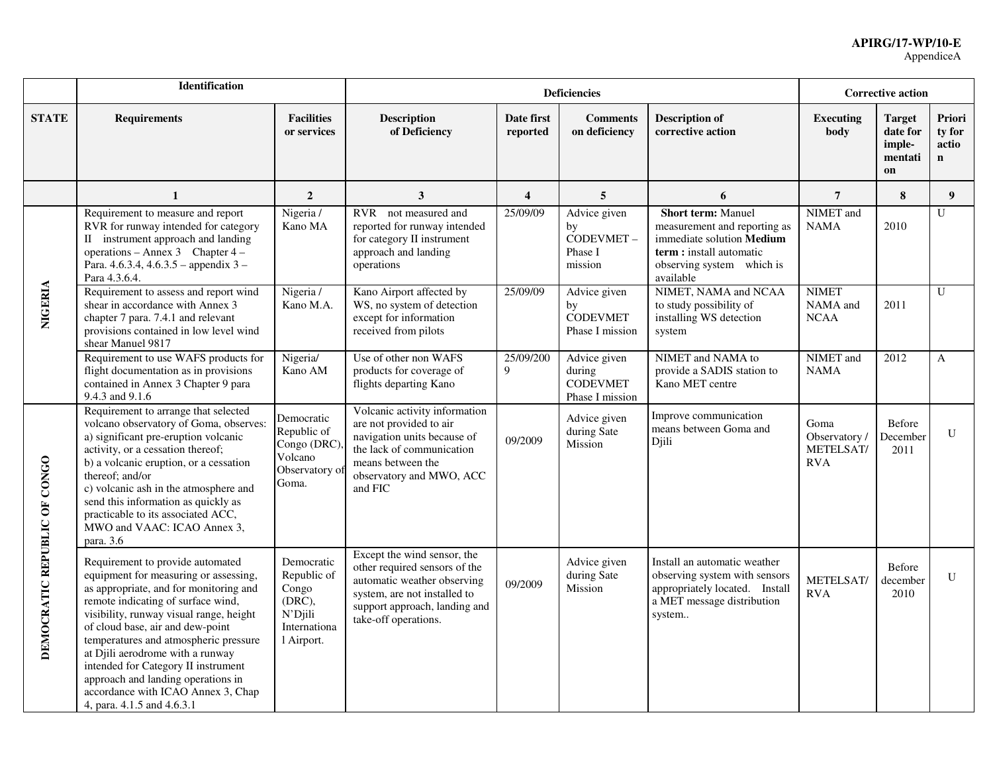|                              | Identification                                                                                                                                                                                                                                                                                                                                                                                                                                                         |                                                                                          | <b>Corrective action</b>                                                                                                                                                             |                         |                                                              |                                                                                                                                                              |                                                 |                                                      |                                |
|------------------------------|------------------------------------------------------------------------------------------------------------------------------------------------------------------------------------------------------------------------------------------------------------------------------------------------------------------------------------------------------------------------------------------------------------------------------------------------------------------------|------------------------------------------------------------------------------------------|--------------------------------------------------------------------------------------------------------------------------------------------------------------------------------------|-------------------------|--------------------------------------------------------------|--------------------------------------------------------------------------------------------------------------------------------------------------------------|-------------------------------------------------|------------------------------------------------------|--------------------------------|
| <b>STATE</b>                 | <b>Requirements</b>                                                                                                                                                                                                                                                                                                                                                                                                                                                    | <b>Facilities</b><br>or services                                                         | <b>Description</b><br>of Deficiency                                                                                                                                                  | Date first<br>reported  | <b>Comments</b><br>on deficiency                             | <b>Description of</b><br>corrective action                                                                                                                   | <b>Executing</b><br>body                        | <b>Target</b><br>date for<br>imple-<br>mentati<br>on | Priori<br>ty for<br>actio<br>n |
|                              | 1                                                                                                                                                                                                                                                                                                                                                                                                                                                                      | $\overline{2}$                                                                           | 3                                                                                                                                                                                    | $\overline{\mathbf{4}}$ | 5                                                            | 6                                                                                                                                                            | $\overline{7}$                                  | 8                                                    | 9                              |
|                              | Requirement to measure and report<br>RVR for runway intended for category<br>II instrument approach and landing<br>operations – Annex 3 Chapter $4 -$<br>Para. 4.6.3.4, 4.6.3.5 - appendix 3 -<br>Para 4.3.6.4.                                                                                                                                                                                                                                                        | Nigeria /<br>Kano MA                                                                     | RVR not measured and<br>reported for runway intended<br>for category II instrument<br>approach and landing<br>operations                                                             | 25/09/09                | Advice given<br>by<br>CODEVMET-<br>Phase I<br>mission        | <b>Short term: Manuel</b><br>measurement and reporting as<br>immediate solution Medium<br>term : install automatic<br>observing system which is<br>available | NIMET and<br><b>NAMA</b>                        | 2010                                                 | U                              |
| <b>NIGERIA</b>               | Requirement to assess and report wind<br>shear in accordance with Annex 3<br>chapter 7 para. 7.4.1 and relevant<br>provisions contained in low level wind<br>shear Manuel 9817                                                                                                                                                                                                                                                                                         | Nigeria /<br>Kano M.A.                                                                   | Kano Airport affected by<br>WS, no system of detection<br>except for information<br>received from pilots                                                                             | 25/09/09                | Advice given<br>by<br><b>CODEVMET</b><br>Phase I mission     | NIMET, NAMA and NCAA<br>to study possibility of<br>installing WS detection<br>system                                                                         | <b>NIMET</b><br>NAMA and<br><b>NCAA</b>         | 2011                                                 | U                              |
|                              | Requirement to use WAFS products for<br>flight documentation as in provisions<br>contained in Annex 3 Chapter 9 para<br>9.4.3 and 9.1.6                                                                                                                                                                                                                                                                                                                                | Nigeria/<br>Kano AM                                                                      | Use of other non WAFS<br>products for coverage of<br>flights departing Kano                                                                                                          | 25/09/200<br>9          | Advice given<br>during<br><b>CODEVMET</b><br>Phase I mission | NIMET and NAMA to<br>provide a SADIS station to<br>Kano MET centre                                                                                           | NIMET and<br><b>NAMA</b>                        | 2012                                                 | A                              |
| DEMOCRATIC REPUBLIC OF CONGO | Requirement to arrange that selected<br>volcano observatory of Goma, observes:<br>a) significant pre-eruption volcanic<br>activity, or a cessation thereof;<br>b) a volcanic eruption, or a cessation<br>thereof; and/or<br>c) volcanic ash in the atmosphere and<br>send this information as quickly as<br>practicable to its associated ACC,<br>MWO and VAAC: ICAO Annex 3,<br>para. 3.6                                                                             | Democratic<br>Republic of<br>Congo (DRC)<br>Volcano<br>Observatory of<br>Goma.           | Volcanic activity information<br>are not provided to air<br>navigation units because of<br>the lack of communication<br>means between the<br>observatory and MWO, ACC<br>and FIC     | 09/2009                 | Advice given<br>during Sate<br>Mission                       | Improve communication<br>means between Goma and<br>Djili                                                                                                     | Goma<br>Observatory/<br>METELSAT/<br><b>RVA</b> | Before<br>December<br>2011                           | U                              |
|                              | Requirement to provide automated<br>equipment for measuring or assessing,<br>as appropriate, and for monitoring and<br>remote indicating of surface wind,<br>visibility, runway visual range, height<br>of cloud base, air and dew-point<br>temperatures and atmospheric pressure<br>at Djili aerodrome with a runway<br>intended for Category II instrument<br>approach and landing operations in<br>accordance with ICAO Annex 3, Chap<br>4, para. 4.1.5 and 4.6.3.1 | Democratic<br>Republic of<br>Congo<br>$(DRC)$ ,<br>N'Djili<br>Internationa<br>l Airport. | Except the wind sensor, the<br>other required sensors of the<br>automatic weather observing<br>system, are not installed to<br>support approach, landing and<br>take-off operations. | 09/2009                 | Advice given<br>during Sate<br>Mission                       | Install an automatic weather<br>observing system with sensors<br>appropriately located. Install<br>a MET message distribution<br>system                      | METELSAT/<br><b>RVA</b>                         | Before<br>december<br>2010                           | U                              |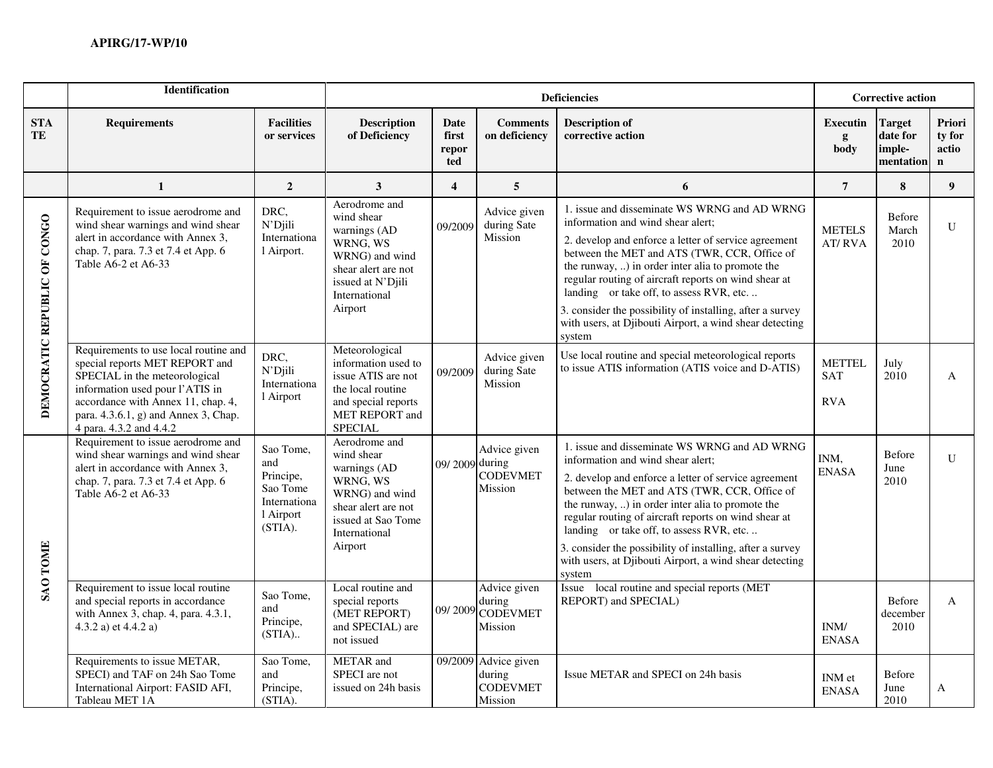|                              | <b>Identification</b>                                                                                                                                                                                                                                |                                                                                   | <b>Corrective action</b>                                                                                                                           |                               |                                                              |                                                                                                                                                                                                                                                                                                                                                                                                                                                                                     |                                           |                                                  |                                          |
|------------------------------|------------------------------------------------------------------------------------------------------------------------------------------------------------------------------------------------------------------------------------------------------|-----------------------------------------------------------------------------------|----------------------------------------------------------------------------------------------------------------------------------------------------|-------------------------------|--------------------------------------------------------------|-------------------------------------------------------------------------------------------------------------------------------------------------------------------------------------------------------------------------------------------------------------------------------------------------------------------------------------------------------------------------------------------------------------------------------------------------------------------------------------|-------------------------------------------|--------------------------------------------------|------------------------------------------|
| <b>STA</b><br>TE             | <b>Requirements</b>                                                                                                                                                                                                                                  | <b>Facilities</b><br>or services                                                  | <b>Description</b><br>of Deficiency                                                                                                                | Date<br>first<br>repor<br>ted | <b>Comments</b><br>on deficiency                             | <b>Description of</b><br>corrective action                                                                                                                                                                                                                                                                                                                                                                                                                                          | Executin<br>g<br>body                     | <b>Target</b><br>date for<br>imple-<br>mentation | Priori<br>ty for<br>actio<br>$\mathbf n$ |
|                              | $\mathbf{1}$                                                                                                                                                                                                                                         | $\overline{2}$                                                                    | 3                                                                                                                                                  | $\overline{\mathbf{4}}$       | $\overline{5}$                                               | 6                                                                                                                                                                                                                                                                                                                                                                                                                                                                                   | $\overline{7}$                            | 8                                                | 9 <sup>°</sup>                           |
| DEMOCRATIC REPUBLIC OF CONGO | Requirement to issue aerodrome and<br>wind shear warnings and wind shear<br>alert in accordance with Annex 3,<br>chap. 7, para. 7.3 et 7.4 et App. 6<br>Table A6-2 et A6-33                                                                          | DRC,<br>N'Djili<br>Internationa<br>l Airport.                                     | Aerodrome and<br>wind shear<br>warnings (AD<br>WRNG, WS<br>WRNG) and wind<br>shear alert are not<br>issued at N'Djili<br>International<br>Airport  | 09/2009                       | Advice given<br>during Sate<br>Mission                       | 1. issue and disseminate WS WRNG and AD WRNG<br>information and wind shear alert;<br>2. develop and enforce a letter of service agreement<br>between the MET and ATS (TWR, CCR, Office of<br>the runway, ) in order inter alia to promote the<br>regular routing of aircraft reports on wind shear at<br>landing or take off, to assess RVR, etc.<br>3. consider the possibility of installing, after a survey<br>with users, at Djibouti Airport, a wind shear detecting<br>system | <b>METELS</b><br><b>AT/RVA</b>            | Before<br>March<br>2010                          | U                                        |
|                              | Requirements to use local routine and<br>special reports MET REPORT and<br>SPECIAL in the meteorological<br>information used pour l'ATIS in<br>accordance with Annex 11, chap. 4,<br>para. 4.3.6.1, g) and Annex 3, Chap.<br>4 para. 4.3.2 and 4.4.2 | DRC,<br>N'Djili<br>Internationa<br>l Airport                                      | Meteorological<br>information used to<br>issue ATIS are not<br>the local routine<br>and special reports<br>MET REPORT and<br><b>SPECIAL</b>        | 09/2009                       | Advice given<br>during Sate<br>Mission                       | Use local routine and special meteorological reports<br>to issue ATIS information (ATIS voice and D-ATIS)                                                                                                                                                                                                                                                                                                                                                                           | <b>METTEL</b><br><b>SAT</b><br><b>RVA</b> | July<br>2010                                     | A                                        |
| <b>SAO TOME</b>              | Requirement to issue aerodrome and<br>wind shear warnings and wind shear<br>alert in accordance with Annex 3,<br>chap. 7, para. 7.3 et 7.4 et App. 6<br>Table A6-2 et A6-33                                                                          | Sao Tome,<br>and<br>Principe,<br>Sao Tome<br>Internationa<br>l Airport<br>(STIA). | Aerodrome and<br>wind shear<br>warnings (AD<br>WRNG, WS<br>WRNG) and wind<br>shear alert are not<br>issued at Sao Tome<br>International<br>Airport | 09/2009 during                | Advice given<br><b>CODEVMET</b><br>Mission                   | 1. issue and disseminate WS WRNG and AD WRNG<br>information and wind shear alert;<br>2. develop and enforce a letter of service agreement<br>between the MET and ATS (TWR, CCR, Office of<br>the runway, ) in order inter alia to promote the<br>regular routing of aircraft reports on wind shear at<br>landing or take off, to assess RVR, etc<br>3. consider the possibility of installing, after a survey<br>with users, at Djibouti Airport, a wind shear detecting<br>system  | INM.<br><b>ENASA</b>                      | Before<br>June<br>2010                           | $\mathbf{U}$                             |
|                              | Requirement to issue local routine<br>and special reports in accordance<br>with Annex 3, chap. 4, para. 4.3.1,<br>4.3.2 a) et 4.4.2 a)                                                                                                               | Sao Tome,<br>and<br>Principe,<br>$(STIA)$                                         | Local routine and<br>special reports<br>(MET REPORT)<br>and SPECIAL) are<br>not issued                                                             |                               | Advice given<br>during<br>09/2009 CODEVMET<br>Mission        | Issue local routine and special reports (MET<br>REPORT) and SPECIAL)                                                                                                                                                                                                                                                                                                                                                                                                                | INM/<br><b>ENASA</b>                      | Before<br>december<br>2010                       | $\mathbf{A}$                             |
|                              | Requirements to issue METAR,<br>SPECI) and TAF on 24h Sao Tome<br>International Airport: FASID AFI,<br>Tableau MET 1A                                                                                                                                | Sao Tome,<br>and<br>Principe,<br>(STIA).                                          | METAR and<br>SPECI are not<br>issued on 24h basis                                                                                                  |                               | 09/2009 Advice given<br>during<br><b>CODEVMET</b><br>Mission | Issue METAR and SPECI on 24h basis                                                                                                                                                                                                                                                                                                                                                                                                                                                  | INM et<br><b>ENASA</b>                    | Before<br>June<br>2010                           | A                                        |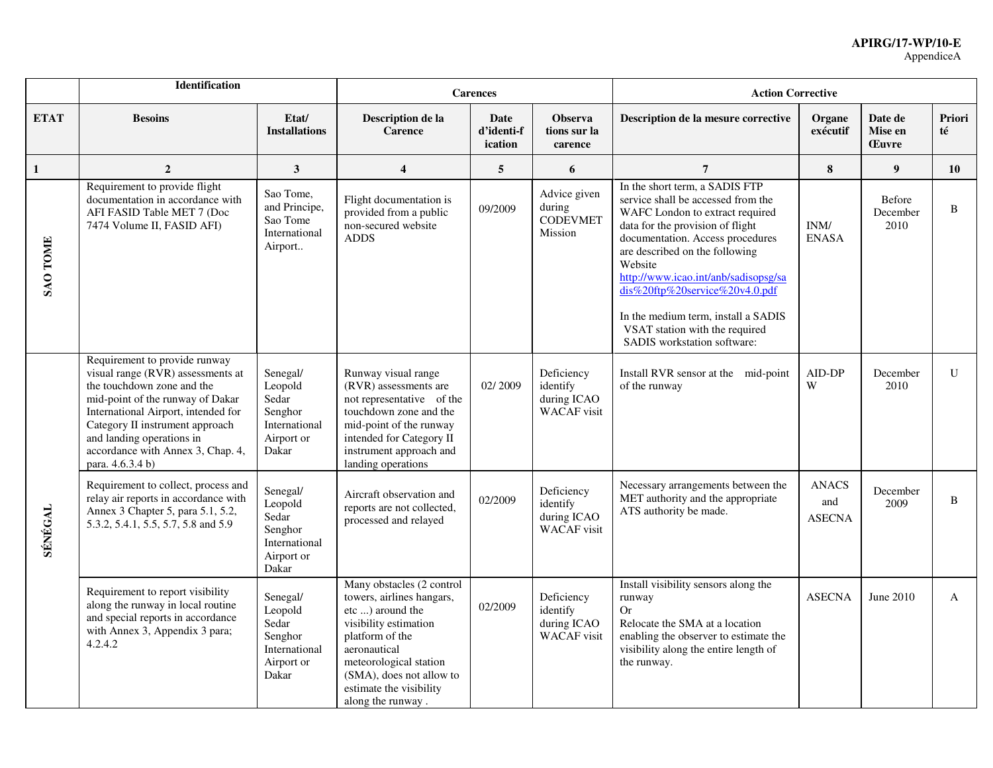|                 | <b>Identification</b>                                                                                                                                                                                                                                                                                |                                                                                 | <b>Carences</b>                                                                                                                                                                                                                              |                                      |                                                             | <b>Action Corrective</b>                                                                                                                                                                                                                                                                                                                                                                                       |                                      |                                    |              |
|-----------------|------------------------------------------------------------------------------------------------------------------------------------------------------------------------------------------------------------------------------------------------------------------------------------------------------|---------------------------------------------------------------------------------|----------------------------------------------------------------------------------------------------------------------------------------------------------------------------------------------------------------------------------------------|--------------------------------------|-------------------------------------------------------------|----------------------------------------------------------------------------------------------------------------------------------------------------------------------------------------------------------------------------------------------------------------------------------------------------------------------------------------------------------------------------------------------------------------|--------------------------------------|------------------------------------|--------------|
| <b>ETAT</b>     | <b>Besoins</b>                                                                                                                                                                                                                                                                                       | Etat/<br><b>Installations</b>                                                   | Description de la<br><b>Carence</b>                                                                                                                                                                                                          | <b>Date</b><br>d'identi-f<br>ication | <b>Observa</b><br>tions sur la<br>carence                   | Description de la mesure corrective                                                                                                                                                                                                                                                                                                                                                                            | Organe<br>exécutif                   | Date de<br>Mise en<br><b>Euvre</b> | Priori<br>té |
| $\mathbf{1}$    | $\overline{2}$                                                                                                                                                                                                                                                                                       | $\mathbf{3}$                                                                    | $\overline{\mathbf{4}}$                                                                                                                                                                                                                      | 5                                    | 6                                                           | $\overline{7}$                                                                                                                                                                                                                                                                                                                                                                                                 | ${\bf 8}$                            | $\boldsymbol{9}$                   | 10           |
| <b>SAO TOME</b> | Requirement to provide flight<br>documentation in accordance with<br>AFI FASID Table MET 7 (Doc<br>7474 Volume II, FASID AFI)                                                                                                                                                                        | Sao Tome,<br>and Principe,<br>Sao Tome<br>International<br>Airport              | Flight documentation is<br>provided from a public<br>non-secured website<br><b>ADDS</b>                                                                                                                                                      | 09/2009                              | Advice given<br>during<br><b>CODEVMET</b><br>Mission        | In the short term, a SADIS FTP<br>service shall be accessed from the<br>WAFC London to extract required<br>data for the provision of flight<br>documentation. Access procedures<br>are described on the following<br>Website<br>http://www.icao.int/anb/sadisopsg/sa<br>dis%20ftp%20service%20v4.0.pdf<br>In the medium term, install a SADIS<br>VSAT station with the required<br>SADIS workstation software: | INM/<br><b>ENASA</b>                 | Before<br>December<br>2010         | B            |
| <b>SÉNÉGAL</b>  | Requirement to provide runway<br>visual range (RVR) assessments at<br>the touchdown zone and the<br>mid-point of the runway of Dakar<br>International Airport, intended for<br>Category II instrument approach<br>and landing operations in<br>accordance with Annex 3, Chap. 4,<br>para. 4.6.3.4 b) | Senegal/<br>Leopold<br>Sedar<br>Senghor<br>International<br>Airport or<br>Dakar | Runway visual range<br>(RVR) assessments are<br>not representative of the<br>touchdown zone and the<br>mid-point of the runway<br>intended for Category II<br>instrument approach and<br>landing operations                                  | 02/2009                              | Deficiency<br>identify<br>during ICAO<br><b>WACAF</b> visit | Install RVR sensor at the mid-point<br>of the runway                                                                                                                                                                                                                                                                                                                                                           | AID-DP<br>W                          | December<br>2010                   | $\mathbf{U}$ |
|                 | Requirement to collect, process and<br>relay air reports in accordance with<br>Annex 3 Chapter 5, para 5.1, 5.2,<br>5.3.2, 5.4.1, 5.5, 5.7, 5.8 and 5.9                                                                                                                                              | Senegal/<br>Leopold<br>Sedar<br>Senghor<br>International<br>Airport or<br>Dakar | Aircraft observation and<br>reports are not collected,<br>processed and relayed                                                                                                                                                              | 02/2009                              | Deficiency<br>identify<br>during ICAO<br><b>WACAF</b> visit | Necessary arrangements between the<br>MET authority and the appropriate<br>ATS authority be made.                                                                                                                                                                                                                                                                                                              | <b>ANACS</b><br>and<br><b>ASECNA</b> | December<br>2009                   | B            |
|                 | Requirement to report visibility<br>along the runway in local routine<br>and special reports in accordance<br>with Annex 3, Appendix 3 para;<br>4.2.4.2                                                                                                                                              | Senegal/<br>Leopold<br>Sedar<br>Senghor<br>International<br>Airport or<br>Dakar | Many obstacles (2 control<br>towers, airlines hangars,<br>etc ) around the<br>visibility estimation<br>platform of the<br>aeronautical<br>meteorological station<br>(SMA), does not allow to<br>estimate the visibility<br>along the runway. | 02/2009                              | Deficiency<br>identify<br>during ICAO<br><b>WACAF</b> visit | Install visibility sensors along the<br>runway<br>Or<br>Relocate the SMA at a location<br>enabling the observer to estimate the<br>visibility along the entire length of<br>the runway.                                                                                                                                                                                                                        | <b>ASECNA</b>                        | June 2010                          | A            |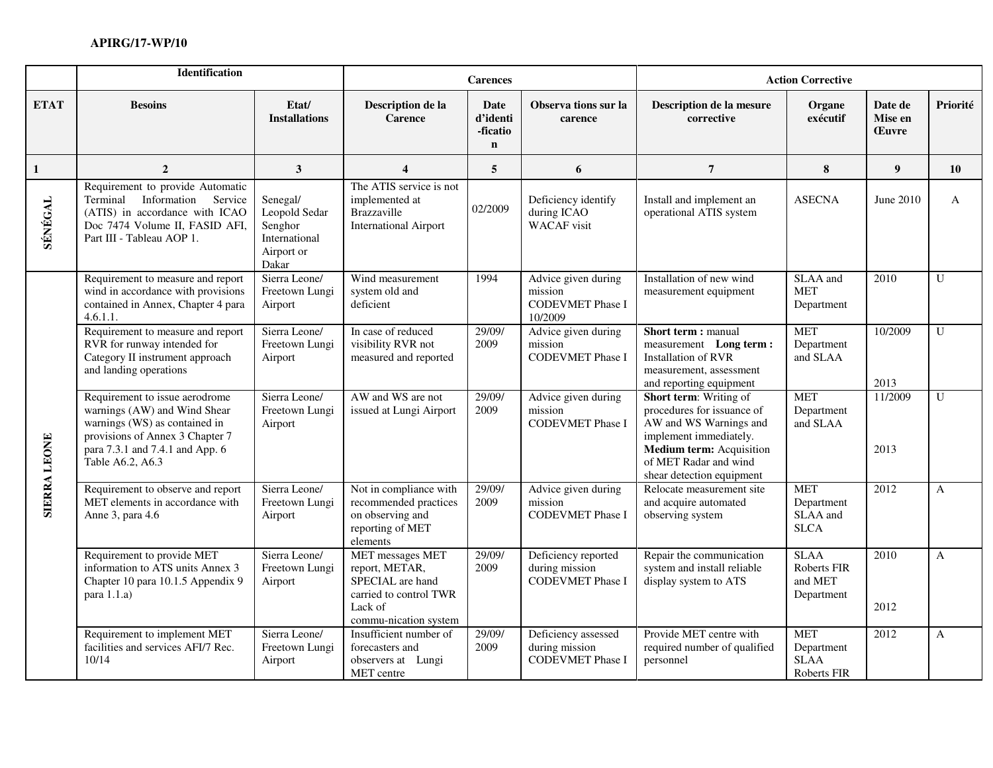|                     | Identification                                                                                                                                                                            |                                                                              | <b>Carences</b>                                                                                                             |                                                    | <b>Action Corrective</b>                                             |                                                                                                                                                                                                   |                                                        |                                    |                |
|---------------------|-------------------------------------------------------------------------------------------------------------------------------------------------------------------------------------------|------------------------------------------------------------------------------|-----------------------------------------------------------------------------------------------------------------------------|----------------------------------------------------|----------------------------------------------------------------------|---------------------------------------------------------------------------------------------------------------------------------------------------------------------------------------------------|--------------------------------------------------------|------------------------------------|----------------|
| <b>ETAT</b>         | <b>Besoins</b>                                                                                                                                                                            | Etat/<br><b>Installations</b>                                                | Description de la<br><b>Carence</b>                                                                                         | <b>Date</b><br>d'identi<br>-ficatio<br>$\mathbf n$ | Observa tions sur la<br>carence                                      | Description de la mesure<br>corrective                                                                                                                                                            | Organe<br>exécutif                                     | Date de<br>Mise en<br><b>Euvre</b> | Priorité       |
| 1                   | $\overline{2}$                                                                                                                                                                            | 3                                                                            | $\overline{\mathbf{4}}$                                                                                                     | 5                                                  | 6                                                                    | $\overline{7}$                                                                                                                                                                                    | 8                                                      | 9                                  | 10             |
| SÉNÉGAL             | Requirement to provide Automatic<br>Terminal Information Service<br>(ATIS) in accordance with ICAO<br>Doc 7474 Volume II, FASID AFI,<br>Part III - Tableau AOP 1.                         | Senegal/<br>Leopold Sedar<br>Senghor<br>International<br>Airport or<br>Dakar | The ATIS service is not<br>implemented at<br>Brazzaville<br><b>International Airport</b>                                    | 02/2009                                            | Deficiency identify<br>during ICAO<br><b>WACAF</b> visit             | Install and implement an<br>operational ATIS system                                                                                                                                               | <b>ASECNA</b>                                          | June 2010                          | $\mathbf{A}$   |
| <b>SIERRA LEONE</b> | Requirement to measure and report<br>wind in accordance with provisions<br>contained in Annex, Chapter 4 para<br>4.6.1.1                                                                  | Sierra Leone/<br>Freetown Lungi<br>Airport                                   | Wind measurement<br>system old and<br>deficient                                                                             | 1994                                               | Advice given during<br>mission<br><b>CODEVMET Phase I</b><br>10/2009 | Installation of new wind<br>measurement equipment                                                                                                                                                 | SLAA and<br><b>MET</b><br>Department                   | 2010                               | U              |
|                     | Requirement to measure and report<br>RVR for runway intended for<br>Category II instrument approach<br>and landing operations                                                             | Sierra Leone/<br>Freetown Lungi<br>Airport                                   | In case of reduced<br>visibility RVR not<br>measured and reported                                                           | 29/09/<br>2009                                     | Advice given during<br>mission<br><b>CODEVMET Phase I</b>            | Short term : manual<br>measurement Long term:<br><b>Installation of RVR</b><br>measurement, assessment<br>and reporting equipment                                                                 | <b>MET</b><br>Department<br>and SLAA                   | 10/2009<br>2013                    | $\overline{U}$ |
|                     | Requirement to issue aerodrome<br>warnings (AW) and Wind Shear<br>warnings (WS) as contained in<br>provisions of Annex 3 Chapter 7<br>para 7.3.1 and 7.4.1 and App. 6<br>Table A6.2, A6.3 | Sierra Leone/<br>Freetown Lungi<br>Airport                                   | AW and WS are not<br>issued at Lungi Airport                                                                                | 29/09/<br>2009                                     | Advice given during<br>mission<br><b>CODEVMET Phase I</b>            | <b>Short term:</b> Writing of<br>procedures for issuance of<br>AW and WS Warnings and<br>implement immediately.<br>Medium term: Acquisition<br>of MET Radar and wind<br>shear detection equipment | <b>MET</b><br>Department<br>and SLAA                   | 11/2009<br>2013                    | $\mathbf{U}$   |
|                     | Requirement to observe and report<br>MET elements in accordance with<br>Anne 3, para 4.6                                                                                                  | Sierra Leone/<br>Freetown Lungi<br>Airport                                   | Not in compliance with<br>recommended practices<br>on observing and<br>reporting of MET<br>elements                         | 29/09/<br>2009                                     | Advice given during<br>mission<br><b>CODEVMET Phase I</b>            | Relocate measurement site<br>and acquire automated<br>observing system                                                                                                                            | <b>MET</b><br>Department<br>SLAA and<br><b>SLCA</b>    | 2012                               | A              |
|                     | Requirement to provide MET<br>information to ATS units Annex 3<br>Chapter 10 para 10.1.5 Appendix 9<br>para 1.1.a)                                                                        | Sierra Leone/<br>Freetown Lungi<br>Airport                                   | <b>MET</b> messages MET<br>report, METAR,<br>SPECIAL are hand<br>carried to control TWR<br>Lack of<br>commu-nication system | 29/09/<br>2009                                     | Deficiency reported<br>during mission<br><b>CODEVMET Phase I</b>     | Repair the communication<br>system and install reliable<br>display system to ATS                                                                                                                  | <b>SLAA</b><br>Roberts FIR<br>and MET<br>Department    | 2010<br>2012                       | A              |
|                     | Requirement to implement MET<br>facilities and services AFI/7 Rec.<br>10/14                                                                                                               | Sierra Leone/<br>Freetown Lungi<br>Airport                                   | Insufficient number of<br>forecasters and<br>observers at Lungi<br>MET centre                                               | 29/09/<br>2009                                     | Deficiency assessed<br>during mission<br>CODEVMET Phase I            | Provide MET centre with<br>required number of qualified<br>personnel                                                                                                                              | <b>MET</b><br>Department<br><b>SLAA</b><br>Roberts FIR | 2012                               | A              |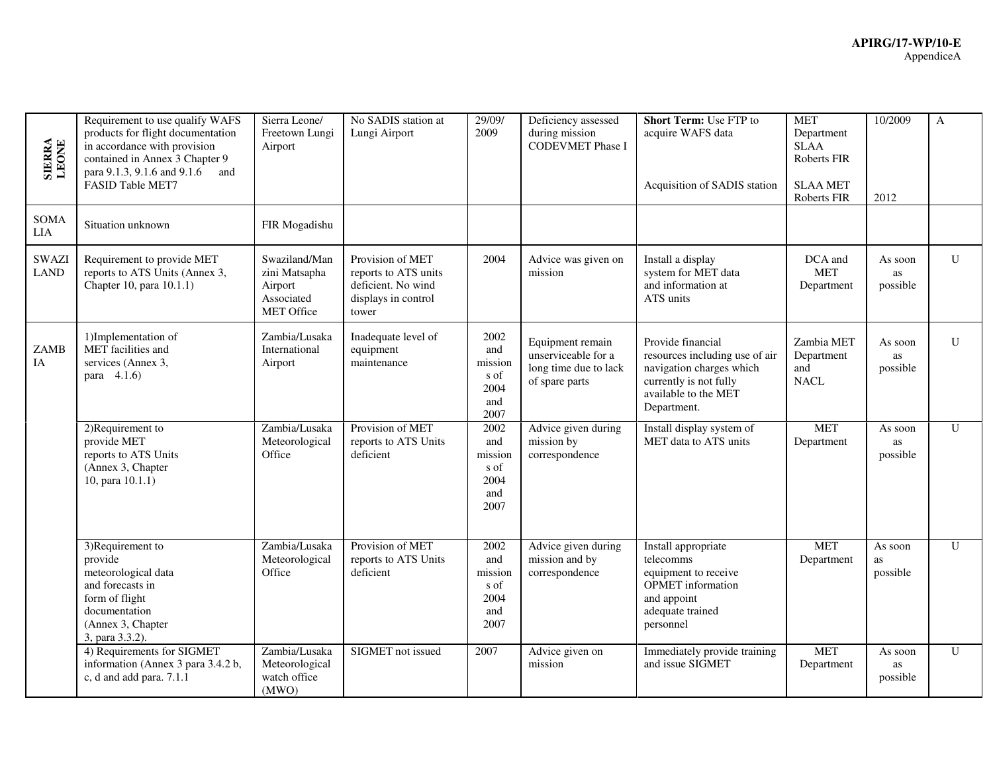| <b>SIERRA</b><br>LEONE      | Requirement to use qualify WAFS<br>products for flight documentation<br>in accordance with provision<br>contained in Annex 3 Chapter 9<br>para 9.1.3, 9.1.6 and 9.1.6<br>and<br>FASID Table MET7 | Sierra Leone/<br>Freetown Lungi<br>Airport                                   | No SADIS station at<br>Lungi Airport                                                           | 29/09/<br>2009                                        | Deficiency assessed<br>during mission<br><b>CODEVMET Phase I</b>                   | Short Term: Use FTP to<br>acquire WAFS data<br>Acquisition of SADIS station                                                                      | <b>MET</b><br>Department<br><b>SLAA</b><br>Roberts FIR<br><b>SLAA MET</b><br>Roberts FIR | 10/2009<br>2012                  | $\mathbf{A}$ |
|-----------------------------|--------------------------------------------------------------------------------------------------------------------------------------------------------------------------------------------------|------------------------------------------------------------------------------|------------------------------------------------------------------------------------------------|-------------------------------------------------------|------------------------------------------------------------------------------------|--------------------------------------------------------------------------------------------------------------------------------------------------|------------------------------------------------------------------------------------------|----------------------------------|--------------|
| SOMA<br><b>LIA</b>          | Situation unknown                                                                                                                                                                                | FIR Mogadishu                                                                |                                                                                                |                                                       |                                                                                    |                                                                                                                                                  |                                                                                          |                                  |              |
| <b>SWAZI</b><br><b>LAND</b> | Requirement to provide MET<br>reports to ATS Units (Annex 3,<br>Chapter 10, para 10.1.1)                                                                                                         | Swaziland/Man<br>zini Matsapha<br>Airport<br>Associated<br><b>MET Office</b> | Provision of MET<br>reports to ATS units<br>deficient. No wind<br>displays in control<br>tower | 2004                                                  | Advice was given on<br>mission                                                     | Install a display<br>system for MET data<br>and information at<br>ATS units                                                                      | DCA and<br><b>MET</b><br>Department                                                      | As soon<br>as<br>possible        | U            |
| <b>ZAMB</b><br><b>IA</b>    | 1)Implementation of<br>MET facilities and<br>services (Annex 3,<br>para 4.1.6)                                                                                                                   | Zambia/Lusaka<br>International<br>Airport                                    | Inadequate level of<br>equipment<br>maintenance                                                | 2002<br>and<br>mission<br>s of<br>2004<br>and<br>2007 | Equipment remain<br>unserviceable for a<br>long time due to lack<br>of spare parts | Provide financial<br>resources including use of air<br>navigation charges which<br>currently is not fully<br>available to the MET<br>Department. | Zambia MET<br>Department<br>and<br><b>NACL</b>                                           | As soon<br>as<br>possible        | $\mathbf{U}$ |
|                             | 2)Requirement to<br>provide MET<br>reports to ATS Units<br>(Annex 3, Chapter<br>10, para 10.1.1)                                                                                                 | Zambia/Lusaka<br>Meteorological<br>Office                                    | Provision of MET<br>reports to ATS Units<br>deficient                                          | 2002<br>and<br>mission<br>s of<br>2004<br>and<br>2007 | Advice given during<br>mission by<br>correspondence                                | Install display system of<br>MET data to ATS units                                                                                               | <b>MET</b><br>Department                                                                 | As soon<br>as<br>possible        | $\mathbf{U}$ |
|                             | 3)Requirement to<br>provide<br>meteorological data<br>and forecasts in<br>form of flight<br>documentation<br>(Annex 3, Chapter<br>3, para 3.3.2).                                                | Zambia/Lusaka<br>Meteorological<br>Office                                    | Provision of MET<br>reports to ATS Units<br>deficient                                          | 2002<br>and<br>mission<br>s of<br>2004<br>and<br>2007 | Advice given during<br>mission and by<br>correspondence                            | Install appropriate<br>telecomms<br>equipment to receive<br>OPMET information<br>and appoint<br>adequate trained<br>personnel                    | <b>MET</b><br>Department                                                                 | As soon<br><b>as</b><br>possible | $\mathbf{U}$ |
|                             | 4) Requirements for SIGMET<br>information (Annex 3 para 3.4.2 b,<br>c, d and add para. 7.1.1                                                                                                     | Zambia/Lusaka<br>Meteorological<br>watch office<br>(MWO)                     | SIGMET not issued                                                                              | 2007                                                  | Advice given on<br>mission                                                         | Immediately provide training<br>and issue SIGMET                                                                                                 | <b>MET</b><br>Department                                                                 | As soon<br>as<br>possible        | $\mathbf{U}$ |